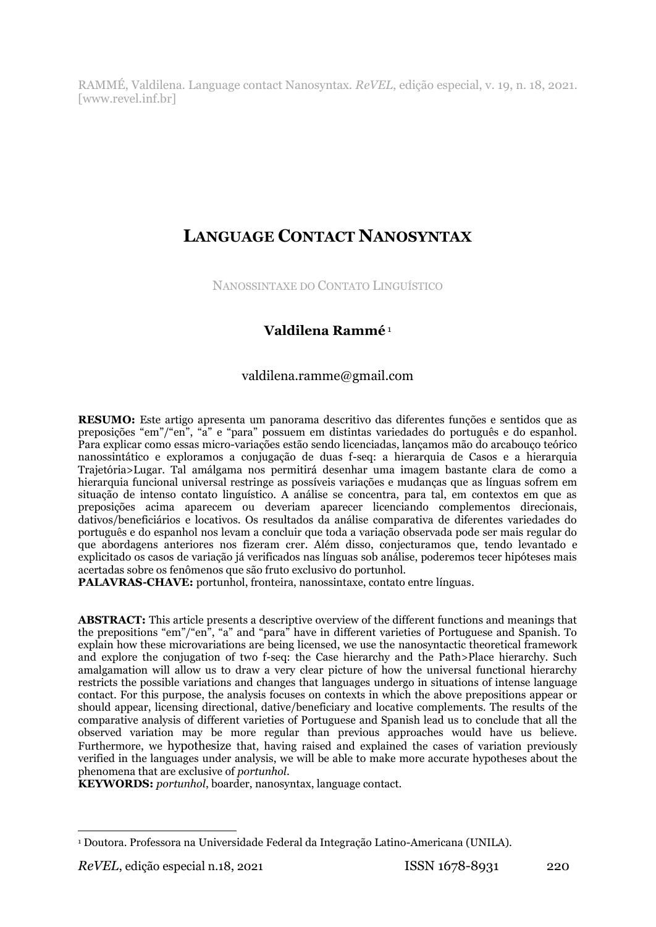RAMMÉ, Valdilena. Language contact Nanosyntax. *ReVEL*, edição especial, v. 19, n. 18, 2021. [www.revel.inf.br]

# **LANGUAGE CONTACT NANOSYNTAX**

NANOSSINTAXE DO CONTATO LINGUÍSTICO

# **Valdilena Rammé** <sup>1</sup>

## valdilena.ramme@gmail.com

**RESUMO:** Este artigo apresenta um panorama descritivo das diferentes funções e sentidos que as preposições "em"/"en", "a" e "para" possuem em distintas variedades do português e do espanhol. Para explicar como essas micro-variações estão sendo licenciadas, lançamos mão do arcabouço teórico nanossintático e exploramos a conjugação de duas f-seq: a hierarquia de Casos e a hierarquia Trajetória>Lugar. Tal amálgama nos permitirá desenhar uma imagem bastante clara de como a hierarquia funcional universal restringe as possíveis variações e mudanças que as línguas sofrem em situação de intenso contato linguístico. A análise se concentra, para tal, em contextos em que as preposições acima aparecem ou deveriam aparecer licenciando complementos direcionais, dativos/beneficiários e locativos. Os resultados da análise comparativa de diferentes variedades do português e do espanhol nos levam a concluir que toda a variação observada pode ser mais regular do que abordagens anteriores nos fizeram crer. Além disso, conjecturamos que, tendo levantado e explicitado os casos de variação já verificados nas línguas sob análise, poderemos tecer hipóteses mais acertadas sobre os fenômenos que são fruto exclusivo do portunhol.

**PALAVRAS-CHAVE:** portunhol, fronteira, nanossintaxe, contato entre línguas.

**ABSTRACT:** This article presents a descriptive overview of the different functions and meanings that the prepositions "em"/"en", "a" and "para" have in different varieties of Portuguese and Spanish. To explain how these microvariations are being licensed, we use the nanosyntactic theoretical framework and explore the conjugation of two f-seq: the Case hierarchy and the Path>Place hierarchy. Such amalgamation will allow us to draw a very clear picture of how the universal functional hierarchy restricts the possible variations and changes that languages undergo in situations of intense language contact. For this purpose, the analysis focuses on contexts in which the above prepositions appear or should appear, licensing directional, dative/beneficiary and locative complements. The results of the comparative analysis of different varieties of Portuguese and Spanish lead us to conclude that all the observed variation may be more regular than previous approaches would have us believe. Furthermore, we hypothesize that, having raised and explained the cases of variation previously verified in the languages under analysis, we will be able to make more accurate hypotheses about the phenomena that are exclusive of *portunhol*.

**KEYWORDS:** *portunhol*, boarder, nanosyntax, language contact.

 <sup>1</sup> Doutora. Professora na Universidade Federal da Integração Latino-Americana (UNILA).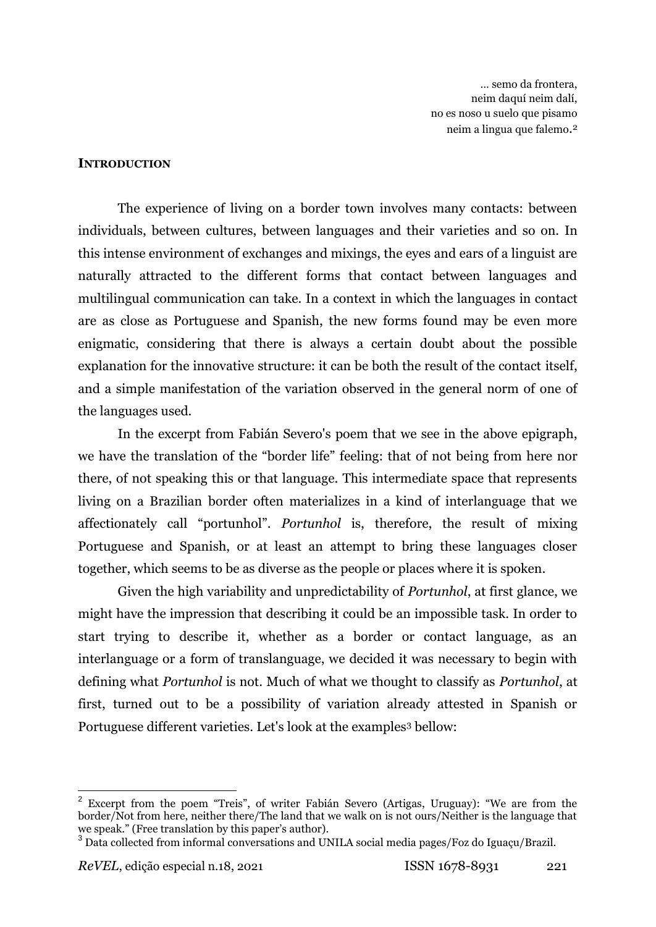… semo da frontera, neim daquí neim dalí, no es noso u suelo que pisamo neim a lingua que falemo. 2

#### **INTRODUCTION**

The experience of living on a border town involves many contacts: between individuals, between cultures, between languages and their varieties and so on. In this intense environment of exchanges and mixings, the eyes and ears of a linguist are naturally attracted to the different forms that contact between languages and multilingual communication can take. In a context in which the languages in contact are as close as Portuguese and Spanish, the new forms found may be even more enigmatic, considering that there is always a certain doubt about the possible explanation for the innovative structure: it can be both the result of the contact itself, and a simple manifestation of the variation observed in the general norm of one of the languages used.

In the excerpt from Fabián Severo's poem that we see in the above epigraph, we have the translation of the "border life" feeling: that of not being from here nor there, of not speaking this or that language. This intermediate space that represents living on a Brazilian border often materializes in a kind of interlanguage that we affectionately call "portunhol". *Portunhol* is, therefore, the result of mixing Portuguese and Spanish, or at least an attempt to bring these languages closer together, which seems to be as diverse as the people or places where it is spoken.

Given the high variability and unpredictability of *Portunhol*, at first glance, we might have the impression that describing it could be an impossible task. In order to start trying to describe it, whether as a border or contact language, as an interlanguage or a form of translanguage, we decided it was necessary to begin with defining what *Portunhol* is not. Much of what we thought to classify as *Portunhol*, at first, turned out to be a possibility of variation already attested in Spanish or Portuguese different varieties. Let's look at the examples<sup>3</sup> bellow:

 2 Excerpt from the poem "Treis", of writer Fabián Severo (Artigas, Uruguay): "We are from the border/Not from here, neither there/The land that we walk on is not ours/Neither is the language that we speak." (Free translation by this paper's author).

<sup>&</sup>lt;sup>3</sup> Data collected from informal conversations and UNILA social media pages/Foz do Iguaçu/Brazil.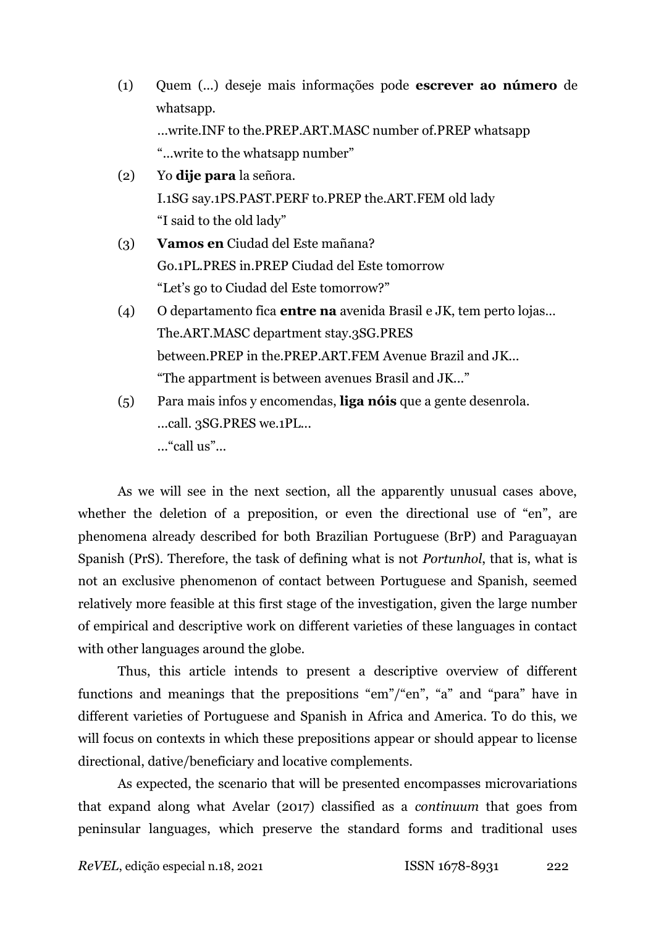- (1) Quem (...) deseje mais informações pode **escrever ao número** de whatsapp. ...write.INF to the.PREP.ART.MASC number of.PREP whatsapp "...write to the whatsapp number"
- (2) Yo **dije para** la señora. I.1SG say.1PS.PAST.PERF to.PREP the.ART.FEM old lady "I said to the old lady"
- (3) **Vamos en** Ciudad del Este mañana? Go.1PL.PRES in.PREP Ciudad del Este tomorrow "Let's go to Ciudad del Este tomorrow?"
- (4) O departamento fica **entre na** avenida Brasil e JK, tem perto lojas… The.ART.MASC department stay.3SG.PRES between.PREP in the.PREP.ART.FEM Avenue Brazil and JK... "The appartment is between avenues Brasil and JK..."
- (5) Para mais infos y encomendas, **liga nóis** que a gente desenrola. ...call. 3SG.PRES we.1PL... ..."call us"...

As we will see in the next section, all the apparently unusual cases above, whether the deletion of a preposition, or even the directional use of "en", are phenomena already described for both Brazilian Portuguese (BrP) and Paraguayan Spanish (PrS). Therefore, the task of defining what is not *Portunhol*, that is, what is not an exclusive phenomenon of contact between Portuguese and Spanish, seemed relatively more feasible at this first stage of the investigation, given the large number of empirical and descriptive work on different varieties of these languages in contact with other languages around the globe.

Thus, this article intends to present a descriptive overview of different functions and meanings that the prepositions "em"/"en", "a" and "para" have in different varieties of Portuguese and Spanish in Africa and America. To do this, we will focus on contexts in which these prepositions appear or should appear to license directional, dative/beneficiary and locative complements.

As expected, the scenario that will be presented encompasses microvariations that expand along what Avelar (2017) classified as a *continuum* that goes from peninsular languages, which preserve the standard forms and traditional uses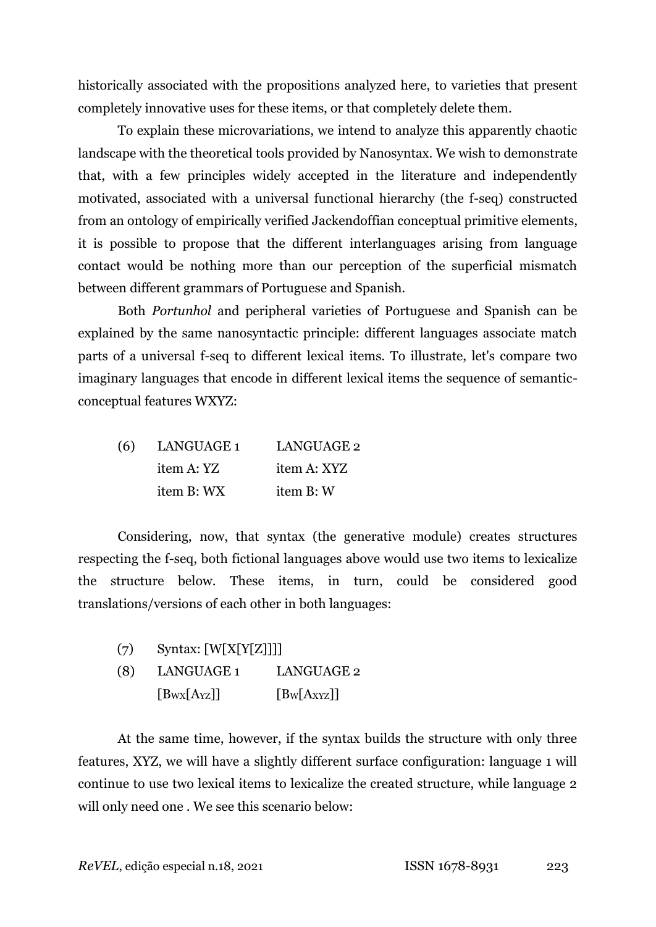historically associated with the propositions analyzed here, to varieties that present completely innovative uses for these items, or that completely delete them.

To explain these microvariations, we intend to analyze this apparently chaotic landscape with the theoretical tools provided by Nanosyntax. We wish to demonstrate that, with a few principles widely accepted in the literature and independently motivated, associated with a universal functional hierarchy (the f-seq) constructed from an ontology of empirically verified Jackendoffian conceptual primitive elements, it is possible to propose that the different interlanguages arising from language contact would be nothing more than our perception of the superficial mismatch between different grammars of Portuguese and Spanish.

Both *Portunhol* and peripheral varieties of Portuguese and Spanish can be explained by the same nanosyntactic principle: different languages associate match parts of a universal f-seq to different lexical items. To illustrate, let's compare two imaginary languages that encode in different lexical items the sequence of semanticconceptual features WXYZ:

| (6) | LANGUAGE 1 | <b>LANGUAGE 2</b> |
|-----|------------|-------------------|
|     | item A: YZ | item A: XYZ       |
|     | item B: WX | item B: W         |

Considering, now, that syntax (the generative module) creates structures respecting the f-seq, both fictional languages above would use two items to lexicalize the structure below. These items, in turn, could be considered good translations/versions of each other in both languages:

| (7) | Syntax: [W[X[Y[Z]]]] |                   |
|-----|----------------------|-------------------|
| (8) | LANGUAGE 1           | <b>LANGUAGE 2</b> |
|     |                      |                   |

 $[B_{WX}[A_{YZ}]]$   $[B_W[A_{XYZ}]]$ 

At the same time, however, if the syntax builds the structure with only three features, XYZ, we will have a slightly different surface configuration: language 1 will continue to use two lexical items to lexicalize the created structure, while language 2 will only need one . We see this scenario below: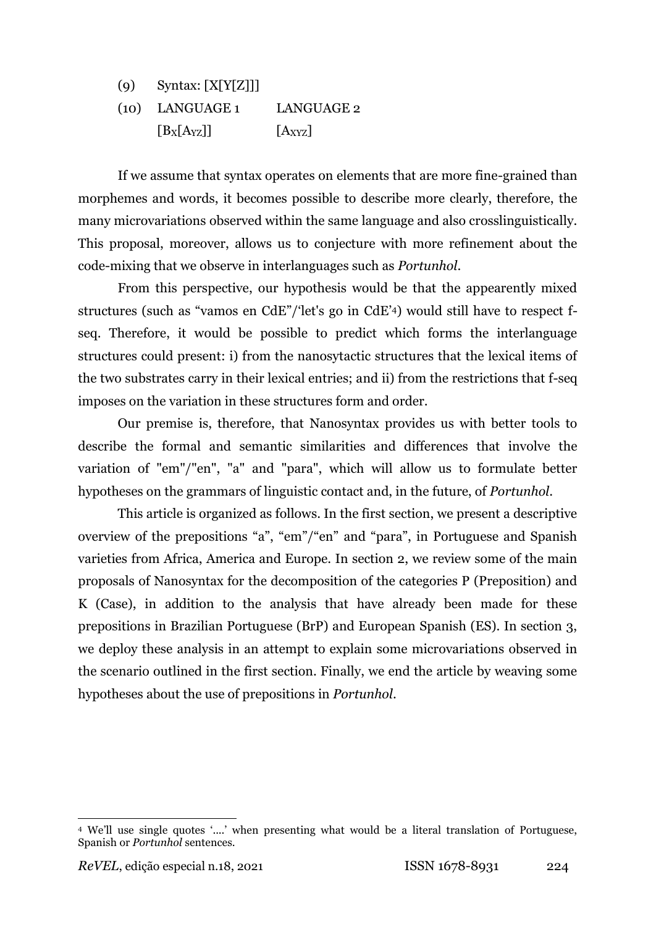| (q) | Syntax: $[X[Y[Z]]]$ |             |
|-----|---------------------|-------------|
|     | $(10)$ LANGUAGE 1   | LANGUAGE 2  |
|     | $[B_X[A_{YZ}]]$     | $[A_{XYZ}]$ |

If we assume that syntax operates on elements that are more fine-grained than morphemes and words, it becomes possible to describe more clearly, therefore, the many microvariations observed within the same language and also crosslinguistically. This proposal, moreover, allows us to conjecture with more refinement about the code-mixing that we observe in interlanguages such as *Portunhol*.

From this perspective, our hypothesis would be that the appearently mixed structures (such as "vamos en CdE"/'let's go in CdE'4) would still have to respect fseq. Therefore, it would be possible to predict which forms the interlanguage structures could present: i) from the nanosytactic structures that the lexical items of the two substrates carry in their lexical entries; and ii) from the restrictions that f-seq imposes on the variation in these structures form and order.

Our premise is, therefore, that Nanosyntax provides us with better tools to describe the formal and semantic similarities and differences that involve the variation of "em"/"en", "a" and "para", which will allow us to formulate better hypotheses on the grammars of linguistic contact and, in the future, of *Portunhol*.

This article is organized as follows. In the first section, we present a descriptive overview of the prepositions "a", "em"/"en" and "para", in Portuguese and Spanish varieties from Africa, America and Europe. In section 2, we review some of the main proposals of Nanosyntax for the decomposition of the categories P (Preposition) and K (Case), in addition to the analysis that have already been made for these prepositions in Brazilian Portuguese (BrP) and European Spanish (ES). In section 3, we deploy these analysis in an attempt to explain some microvariations observed in the scenario outlined in the first section. Finally, we end the article by weaving some hypotheses about the use of prepositions in *Portunhol*.

<sup>4</sup> We'll use single quotes '....' when presenting what would be a literal translation of Portuguese, Spanish or *Portunhol* sentences.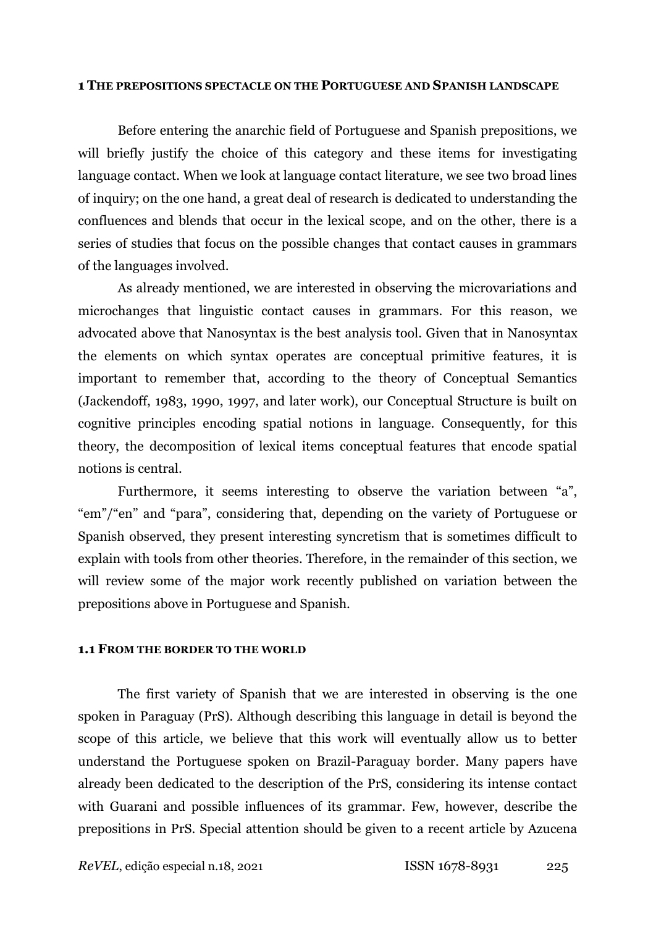#### **1 THE PREPOSITIONS SPECTACLE ON THE PORTUGUESE AND SPANISH LANDSCAPE**

Before entering the anarchic field of Portuguese and Spanish prepositions, we will briefly justify the choice of this category and these items for investigating language contact. When we look at language contact literature, we see two broad lines of inquiry; on the one hand, a great deal of research is dedicated to understanding the confluences and blends that occur in the lexical scope, and on the other, there is a series of studies that focus on the possible changes that contact causes in grammars of the languages involved.

As already mentioned, we are interested in observing the microvariations and microchanges that linguistic contact causes in grammars. For this reason, we advocated above that Nanosyntax is the best analysis tool. Given that in Nanosyntax the elements on which syntax operates are conceptual primitive features, it is important to remember that, according to the theory of Conceptual Semantics (Jackendoff, 1983, 1990, 1997, and later work), our Conceptual Structure is built on cognitive principles encoding spatial notions in language. Consequently, for this theory, the decomposition of lexical items conceptual features that encode spatial notions is central.

Furthermore, it seems interesting to observe the variation between "a", "em"/"en" and "para", considering that, depending on the variety of Portuguese or Spanish observed, they present interesting syncretism that is sometimes difficult to explain with tools from other theories. Therefore, in the remainder of this section, we will review some of the major work recently published on variation between the prepositions above in Portuguese and Spanish.

#### **1.1 FROM THE BORDER TO THE WORLD**

The first variety of Spanish that we are interested in observing is the one spoken in Paraguay (PrS). Although describing this language in detail is beyond the scope of this article, we believe that this work will eventually allow us to better understand the Portuguese spoken on Brazil-Paraguay border. Many papers have already been dedicated to the description of the PrS, considering its intense contact with Guarani and possible influences of its grammar. Few, however, describe the prepositions in PrS. Special attention should be given to a recent article by Azucena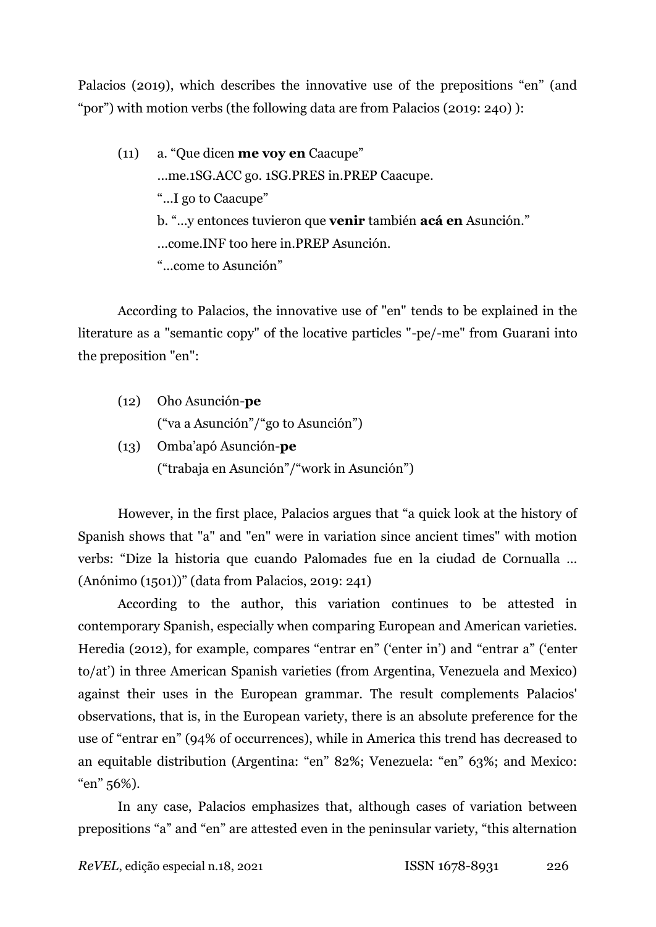Palacios (2019), which describes the innovative use of the prepositions "en" (and "por") with motion verbs (the following data are from Palacios (2019: 240) ):

(11) a. "Que dicen **me voy en** Caacupe" ...me.1SG.ACC go. 1SG.PRES in.PREP Caacupe. "...I go to Caacupe" b. "...y entonces tuvieron que **venir** también **acá en** Asunción." ...come.INF too here in.PREP Asunción. "...come to Asunción"

According to Palacios, the innovative use of "en" tends to be explained in the literature as a "semantic copy" of the locative particles "-pe/-me" from Guarani into the preposition "en":

- (12) Oho Asunción-**pe** ("va a Asunción"/"go to Asunción")
- (13) Omba'apó Asunción-**pe** ("trabaja en Asunción"/"work in Asunción")

However, in the first place, Palacios argues that "a quick look at the history of Spanish shows that "a" and "en" were in variation since ancient times" with motion verbs: "Dize la historia que cuando Palomades fue en la ciudad de Cornualla … (Anónimo (1501))" (data from Palacios, 2019: 241)

According to the author, this variation continues to be attested in contemporary Spanish, especially when comparing European and American varieties. Heredia (2012), for example, compares "entrar en" ('enter in') and "entrar a" ('enter to/at') in three American Spanish varieties (from Argentina, Venezuela and Mexico) against their uses in the European grammar. The result complements Palacios' observations, that is, in the European variety, there is an absolute preference for the use of "entrar en" (94% of occurrences), while in America this trend has decreased to an equitable distribution (Argentina: "en" 82%; Venezuela: "en" 63%; and Mexico: "en" 56%).

In any case, Palacios emphasizes that, although cases of variation between prepositions "a" and "en" are attested even in the peninsular variety, "this alternation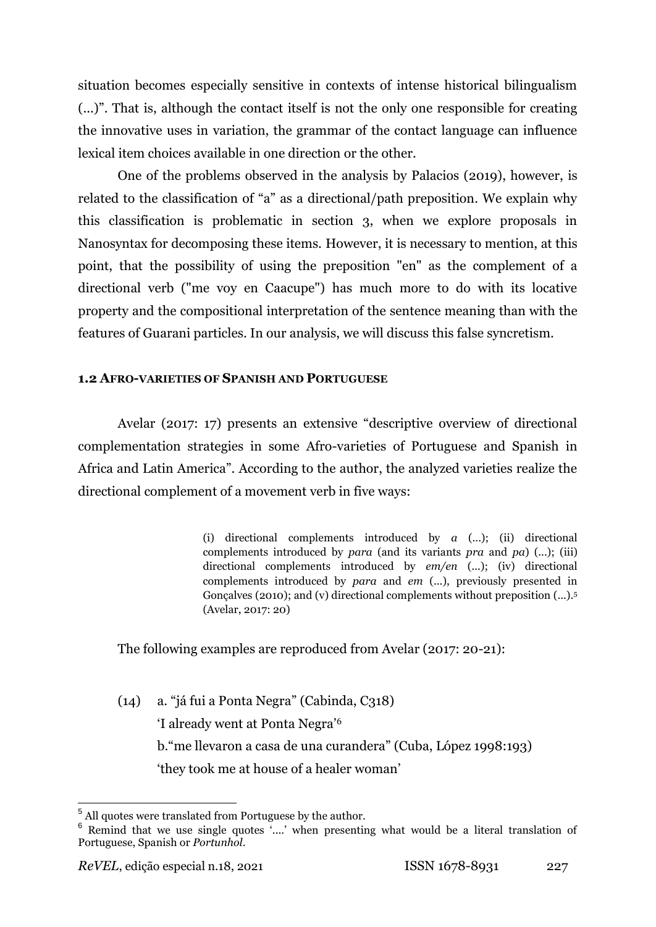situation becomes especially sensitive in contexts of intense historical bilingualism (...)". That is, although the contact itself is not the only one responsible for creating the innovative uses in variation, the grammar of the contact language can influence lexical item choices available in one direction or the other.

One of the problems observed in the analysis by Palacios (2019), however, is related to the classification of "a" as a directional/path preposition. We explain why this classification is problematic in section 3, when we explore proposals in Nanosyntax for decomposing these items. However, it is necessary to mention, at this point, that the possibility of using the preposition "en" as the complement of a directional verb ("me voy en Caacupe") has much more to do with its locative property and the compositional interpretation of the sentence meaning than with the features of Guarani particles. In our analysis, we will discuss this false syncretism.

## **1.2 AFRO-VARIETIES OF SPANISH AND PORTUGUESE**

Avelar (2017: 17) presents an extensive "descriptive overview of directional complementation strategies in some Afro-varieties of Portuguese and Spanish in Africa and Latin America". According to the author, the analyzed varieties realize the directional complement of a movement verb in five ways:

> (i) directional complements introduced by *a* (...); (ii) directional complements introduced by *para* (and its variants *pra* and *pa*) (...); (iii) directional complements introduced by *em/en* (...); (iv) directional complements introduced by *para* and *em* (...), previously presented in Gonçalves (2010); and (v) directional complements without preposition  $(...)$ <sup>5</sup> (Avelar, 2017: 20)

The following examples are reproduced from Avelar (2017: 20-21):

(14) a. "já fui a Ponta Negra" (Cabinda, C318) 'I already went at Ponta Negra'<sup>6</sup> b."me llevaron a casa de una curandera" (Cuba, López 1998:193) 'they took me at house of a healer woman'

 $^5$  All quotes were translated from Portuguese by the author.

<sup>&</sup>lt;sup>6</sup> Remind that we use single quotes '....' when presenting what would be a literal translation of Portuguese, Spanish or *Portunhol*.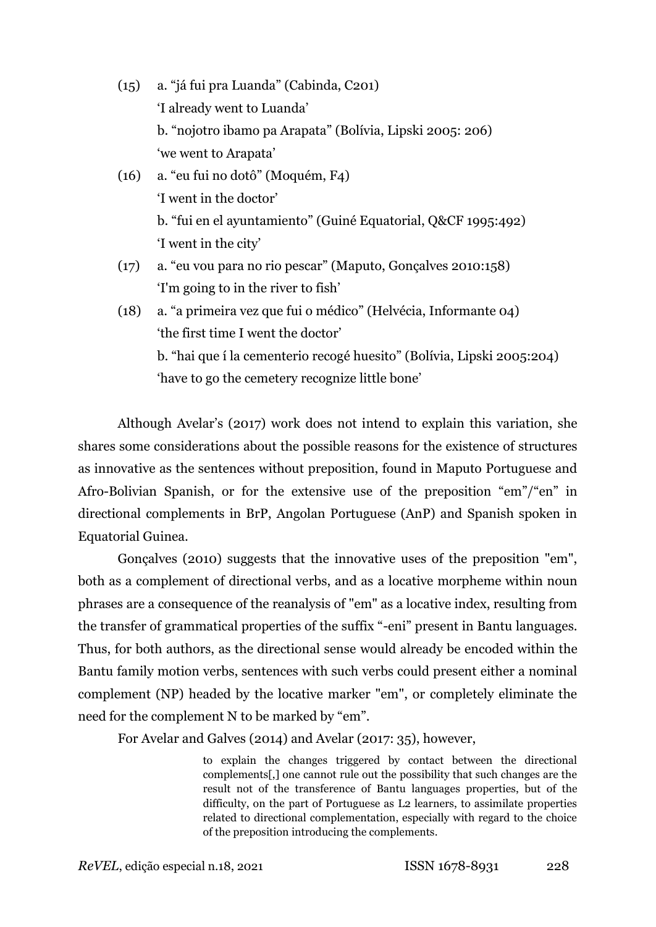- (15) a. "já fui pra Luanda" (Cabinda, C201) 'I already went to Luanda' b. "nojotro ibamo pa Arapata" (Bolívia, Lipski 2005: 206) 'we went to Arapata'
- (16) a. "eu fui no dotô" (Moquém, F4) 'I went in the doctor' b. "fui en el ayuntamiento" (Guiné Equatorial, Q&CF 1995:492) 'I went in the city'
- (17) a. "eu vou para no rio pescar" (Maputo, Gonçalves 2010:158) 'I'm going to in the river to fish'
- (18) a. "a primeira vez que fui o médico" (Helvécia, Informante 04) 'the first time I went the doctor' b. "hai que í la cementerio recogé huesito" (Bolívia, Lipski 2005:204) 'have to go the cemetery recognize little bone'

Although Avelar's (2017) work does not intend to explain this variation, she shares some considerations about the possible reasons for the existence of structures as innovative as the sentences without preposition, found in Maputo Portuguese and Afro-Bolivian Spanish, or for the extensive use of the preposition "em"/"en" in directional complements in BrP, Angolan Portuguese (AnP) and Spanish spoken in Equatorial Guinea.

Gonçalves (2010) suggests that the innovative uses of the preposition "em", both as a complement of directional verbs, and as a locative morpheme within noun phrases are a consequence of the reanalysis of "em" as a locative index, resulting from the transfer of grammatical properties of the suffix "-eni" present in Bantu languages. Thus, for both authors, as the directional sense would already be encoded within the Bantu family motion verbs, sentences with such verbs could present either a nominal complement (NP) headed by the locative marker "em", or completely eliminate the need for the complement N to be marked by "em".

For Avelar and Galves (2014) and Avelar (2017: 35), however,

to explain the changes triggered by contact between the directional complements[,] one cannot rule out the possibility that such changes are the result not of the transference of Bantu languages properties, but of the difficulty, on the part of Portuguese as L2 learners, to assimilate properties related to directional complementation, especially with regard to the choice of the preposition introducing the complements.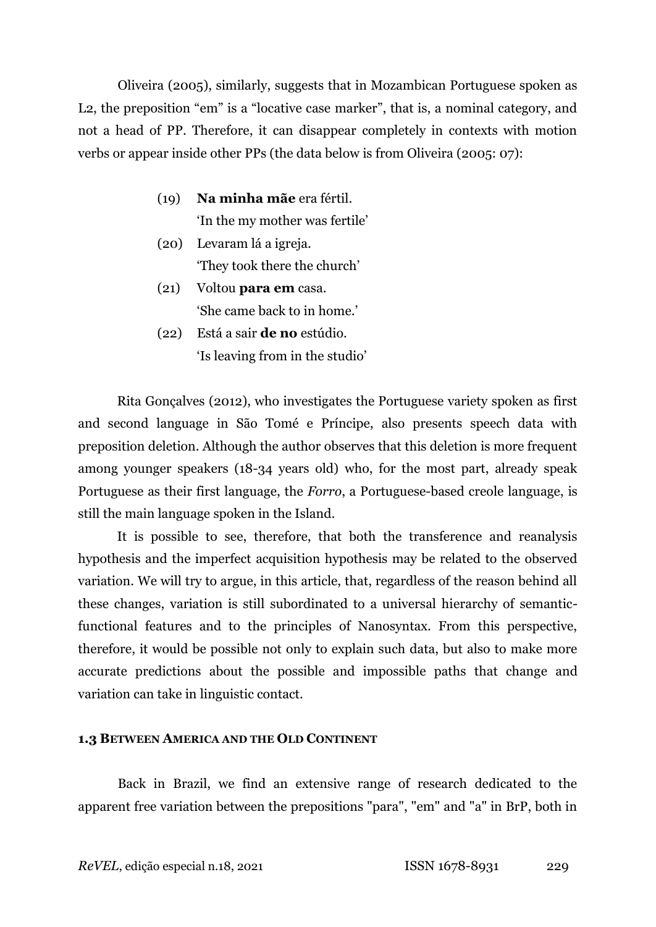Oliveira (2005), similarly, suggests that in Mozambican Portuguese spoken as L2, the preposition "em" is a "locative case marker", that is, a nominal category, and not a head of PP. Therefore, it can disappear completely in contexts with motion verbs or appear inside other PPs (the data below is from Oliveira (2005: 07):

- (19) **Na minha mãe** era fértil. 'In the my mother was fertile'
- (20) Levaram lá a igreja. 'They took there the church'
- (21) Voltou **para em** casa. 'She came back to in home.'
- (22) Está a sair **de no** estúdio. 'Is leaving from in the studio'

Rita Gonçalves (2012), who investigates the Portuguese variety spoken as first and second language in São Tomé e Príncipe, also presents speech data with preposition deletion. Although the author observes that this deletion is more frequent among younger speakers (18-34 years old) who, for the most part, already speak Portuguese as their first language, the *Forro*, a Portuguese-based creole language, is still the main language spoken in the Island.

It is possible to see, therefore, that both the transference and reanalysis hypothesis and the imperfect acquisition hypothesis may be related to the observed variation. We will try to argue, in this article, that, regardless of the reason behind all these changes, variation is still subordinated to a universal hierarchy of semanticfunctional features and to the principles of Nanosyntax. From this perspective, therefore, it would be possible not only to explain such data, but also to make more accurate predictions about the possible and impossible paths that change and variation can take in linguistic contact.

## **1.3 BETWEEN AMERICA AND THE OLD CONTINENT**

Back in Brazil, we find an extensive range of research dedicated to the apparent free variation between the prepositions "para", "em" and "a" in BrP, both in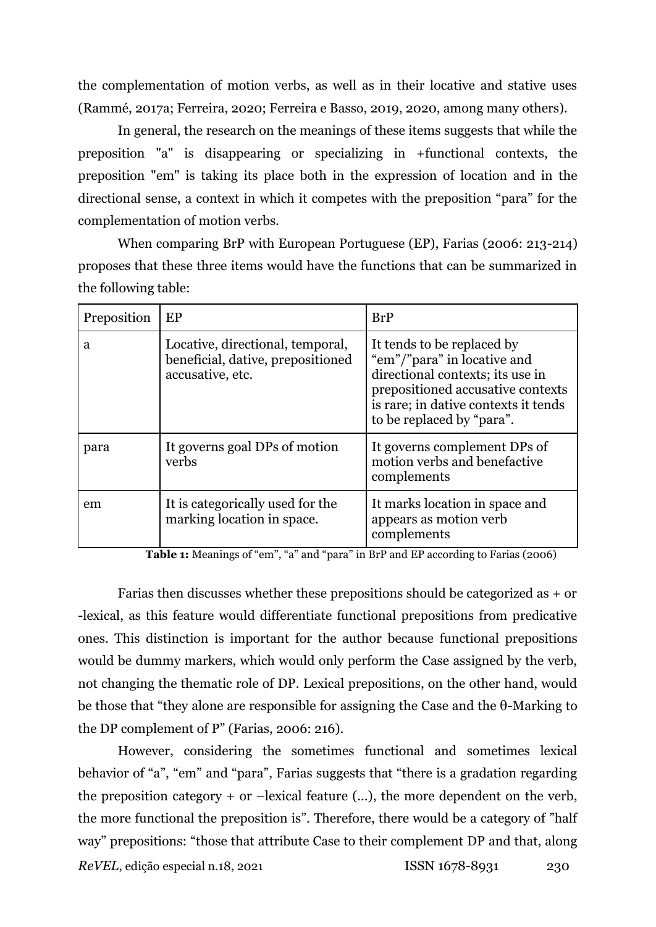the complementation of motion verbs, as well as in their locative and stative uses (Rammé, 2017a; Ferreira, 2020; Ferreira e Basso, 2019, 2020, among many others).

In general, the research on the meanings of these items suggests that while the preposition "a" is disappearing or specializing in +functional contexts, the preposition "em" is taking its place both in the expression of location and in the directional sense, a context in which it competes with the preposition "para" for the complementation of motion verbs.

When comparing BrP with European Portuguese (EP), Farias (2006: 213-214) proposes that these three items would have the functions that can be summarized in the following table:

| Preposition | EP                                                                                        | BrP                                                                                                                                                                                                     |
|-------------|-------------------------------------------------------------------------------------------|---------------------------------------------------------------------------------------------------------------------------------------------------------------------------------------------------------|
| a           | Locative, directional, temporal,<br>beneficial, dative, prepositioned<br>accusative, etc. | It tends to be replaced by<br>"em"/"para" in locative and<br>directional contexts; its use in<br>prepositioned accusative contexts<br>is rare; in dative contexts it tends<br>to be replaced by "para". |
| para        | It governs goal DPs of motion<br>verbs                                                    | It governs complement DPs of<br>motion verbs and benefactive<br>complements                                                                                                                             |
| em          | It is categorically used for the<br>marking location in space.                            | It marks location in space and<br>appears as motion verb<br>complements                                                                                                                                 |

**Table 1:** Meanings of "em", "a" and "para" in BrP and EP according to Farias (2006)

Farias then discusses whether these prepositions should be categorized as + or -lexical, as this feature would differentiate functional prepositions from predicative ones. This distinction is important for the author because functional prepositions would be dummy markers, which would only perform the Case assigned by the verb, not changing the thematic role of DP. Lexical prepositions, on the other hand, would be those that "they alone are responsible for assigning the Case and the θ-Marking to the DP complement of P" (Farias, 2006: 216).

However, considering the sometimes functional and sometimes lexical behavior of "a", "em" and "para", Farias suggests that "there is a gradation regarding the preposition category  $+$  or  $-$ lexical feature  $(...)$ , the more dependent on the verb, the more functional the preposition is". Therefore, there would be a category of "half way" prepositions: "those that attribute Case to their complement DP and that, along

*ReVEL*, edição especial n.18, 2021 ISSN 1678-8931 230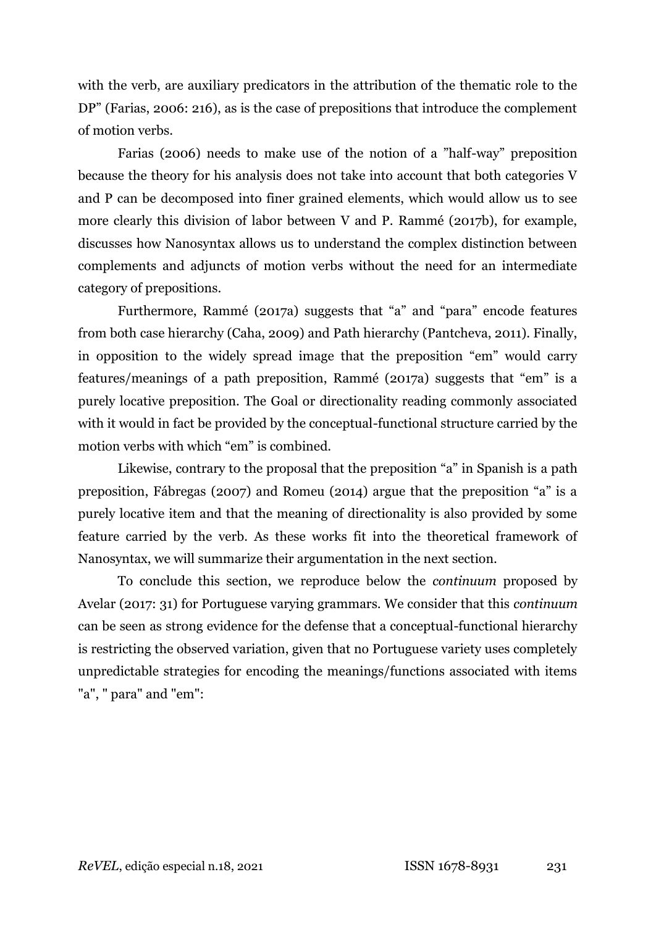with the verb, are auxiliary predicators in the attribution of the thematic role to the DP" (Farias, 2006: 216), as is the case of prepositions that introduce the complement of motion verbs.

Farias (2006) needs to make use of the notion of a "half-way" preposition because the theory for his analysis does not take into account that both categories V and P can be decomposed into finer grained elements, which would allow us to see more clearly this division of labor between V and P. Rammé (2017b), for example, discusses how Nanosyntax allows us to understand the complex distinction between complements and adjuncts of motion verbs without the need for an intermediate category of prepositions.

Furthermore, Rammé (2017a) suggests that "a" and "para" encode features from both case hierarchy (Caha, 2009) and Path hierarchy (Pantcheva, 2011). Finally, in opposition to the widely spread image that the preposition "em" would carry features/meanings of a path preposition, Rammé (2017a) suggests that "em" is a purely locative preposition. The Goal or directionality reading commonly associated with it would in fact be provided by the conceptual-functional structure carried by the motion verbs with which "em" is combined.

Likewise, contrary to the proposal that the preposition "a" in Spanish is a path preposition, Fábregas (2007) and Romeu (2014) argue that the preposition "a" is a purely locative item and that the meaning of directionality is also provided by some feature carried by the verb. As these works fit into the theoretical framework of Nanosyntax, we will summarize their argumentation in the next section.

To conclude this section, we reproduce below the *continuum* proposed by Avelar (2017: 31) for Portuguese varying grammars. We consider that this *continuum* can be seen as strong evidence for the defense that a conceptual-functional hierarchy is restricting the observed variation, given that no Portuguese variety uses completely unpredictable strategies for encoding the meanings/functions associated with items "a", " para" and "em":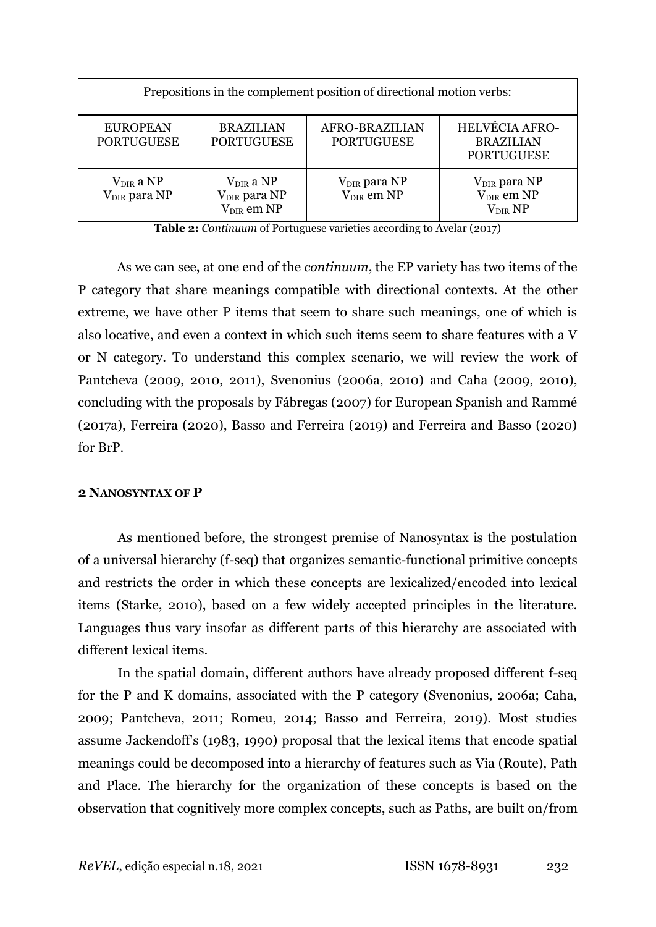| Prepositions in the complement position of directional motion verbs: |                                                               |                                                    |                                                                    |  |  |  |  |
|----------------------------------------------------------------------|---------------------------------------------------------------|----------------------------------------------------|--------------------------------------------------------------------|--|--|--|--|
| <b>EUROPEAN</b><br><b>PORTUGUESE</b>                                 | <b>BRAZILIAN</b><br><b>PORTUGUESE</b>                         | AFRO-BRAZILIAN<br><b>PORTUGUESE</b>                | <b>HELVÉCIA AFRO-</b><br><b>BRAZILIAN</b><br><b>PORTUGUESE</b>     |  |  |  |  |
| $V_{DIR}$ a NP<br>V <sub>DIR</sub> para NP                           | $V_{DIR}$ a NP<br>V <sub>DIR</sub> para NP<br>$V_{DIR}$ em NP | V <sub>DIR</sub> para NP<br>V <sub>DIR</sub> em NP | V <sub>DIR</sub> para NP<br>V <sub>DIR</sub> em NP<br>$V_{DIR} NP$ |  |  |  |  |

**Table 2:** *Continuum* of Portuguese varieties according to Avelar (2017)

As we can see, at one end of the *continuum*, the EP variety has two items of the P category that share meanings compatible with directional contexts. At the other extreme, we have other P items that seem to share such meanings, one of which is also locative, and even a context in which such items seem to share features with a V or N category. To understand this complex scenario, we will review the work of Pantcheva (2009, 2010, 2011), Svenonius (2006a, 2010) and Caha (2009, 2010), concluding with the proposals by Fábregas (2007) for European Spanish and Rammé (2017a), Ferreira (2020), Basso and Ferreira (2019) and Ferreira and Basso (2020) for BrP.

## **2 NANOSYNTAX OF P**

As mentioned before, the strongest premise of Nanosyntax is the postulation of a universal hierarchy (f-seq) that organizes semantic-functional primitive concepts and restricts the order in which these concepts are lexicalized/encoded into lexical items (Starke, 2010), based on a few widely accepted principles in the literature. Languages thus vary insofar as different parts of this hierarchy are associated with different lexical items.

In the spatial domain, different authors have already proposed different f-seq for the P and K domains, associated with the P category (Svenonius, 2006a; Caha, 2009; Pantcheva, 2011; Romeu, 2014; Basso and Ferreira, 2019). Most studies assume Jackendoff's (1983, 1990) proposal that the lexical items that encode spatial meanings could be decomposed into a hierarchy of features such as Via (Route), Path and Place. The hierarchy for the organization of these concepts is based on the observation that cognitively more complex concepts, such as Paths, are built on/from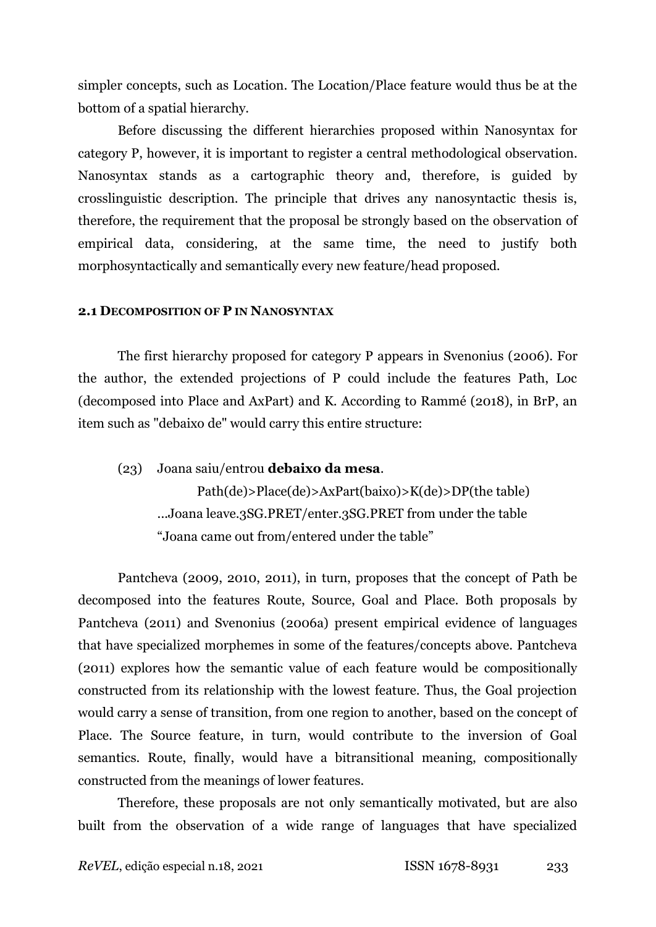simpler concepts, such as Location. The Location/Place feature would thus be at the bottom of a spatial hierarchy.

Before discussing the different hierarchies proposed within Nanosyntax for category P, however, it is important to register a central methodological observation. Nanosyntax stands as a cartographic theory and, therefore, is guided by crosslinguistic description. The principle that drives any nanosyntactic thesis is, therefore, the requirement that the proposal be strongly based on the observation of empirical data, considering, at the same time, the need to justify both morphosyntactically and semantically every new feature/head proposed.

## **2.1 DECOMPOSITION OF P IN NANOSYNTAX**

The first hierarchy proposed for category P appears in Svenonius (2006). For the author, the extended projections of P could include the features Path, Loc (decomposed into Place and AxPart) and K. According to Rammé (2018), in BrP, an item such as "debaixo de" would carry this entire structure:

(23) Joana saiu/entrou **debaixo da mesa**. Path(de)>Place(de)>AxPart(baixo)>K(de)>DP(the table) ...Joana leave.3SG.PRET/enter.3SG.PRET from under the table "Joana came out from/entered under the table"

Pantcheva (2009, 2010, 2011), in turn, proposes that the concept of Path be decomposed into the features Route, Source, Goal and Place. Both proposals by Pantcheva (2011) and Svenonius (2006a) present empirical evidence of languages that have specialized morphemes in some of the features/concepts above. Pantcheva (2011) explores how the semantic value of each feature would be compositionally constructed from its relationship with the lowest feature. Thus, the Goal projection would carry a sense of transition, from one region to another, based on the concept of Place. The Source feature, in turn, would contribute to the inversion of Goal semantics. Route, finally, would have a bitransitional meaning, compositionally constructed from the meanings of lower features.

Therefore, these proposals are not only semantically motivated, but are also built from the observation of a wide range of languages that have specialized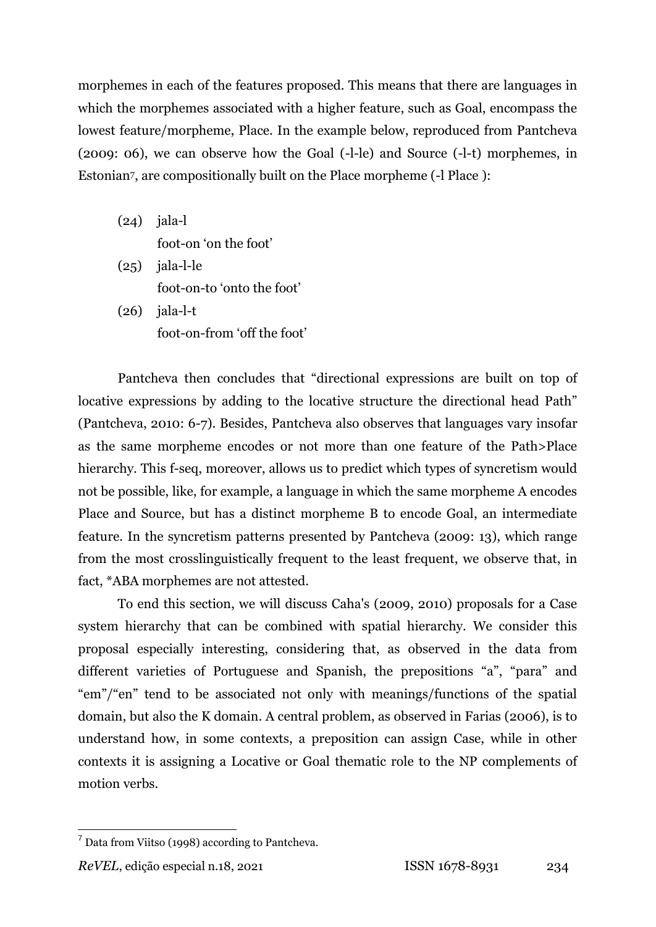morphemes in each of the features proposed. This means that there are languages in which the morphemes associated with a higher feature, such as Goal, encompass the lowest feature/morpheme, Place. In the example below, reproduced from Pantcheva (2009: 06), we can observe how the Goal (-l-le) and Source (-l-t) morphemes, in Estonian7, are compositionally built on the Place morpheme (-l Place ):

- (24) jala-l foot-on 'on the foot'
- $(25)$  jala-l-le foot-on-to 'onto the foot'
- $(26)$  jala-l-t foot-on-from 'off the foot'

Pantcheva then concludes that "directional expressions are built on top of locative expressions by adding to the locative structure the directional head Path" (Pantcheva, 2010: 6-7). Besides, Pantcheva also observes that languages vary insofar as the same morpheme encodes or not more than one feature of the Path>Place hierarchy. This f-seq, moreover, allows us to predict which types of syncretism would not be possible, like, for example, a language in which the same morpheme A encodes Place and Source, but has a distinct morpheme B to encode Goal, an intermediate feature. In the syncretism patterns presented by Pantcheva (2009: 13), which range from the most crosslinguistically frequent to the least frequent, we observe that, in fact, \*ABA morphemes are not attested.

To end this section, we will discuss Caha's (2009, 2010) proposals for a Case system hierarchy that can be combined with spatial hierarchy. We consider this proposal especially interesting, considering that, as observed in the data from different varieties of Portuguese and Spanish, the prepositions "a", "para" and "em"/"en" tend to be associated not only with meanings/functions of the spatial domain, but also the K domain. A central problem, as observed in Farias (2006), is to understand how, in some contexts, a preposition can assign Case, while in other contexts it is assigning a Locative or Goal thematic role to the NP complements of motion verbs.

 $<sup>7</sup>$  Data from Viitso (1998) according to Pantcheva.</sup>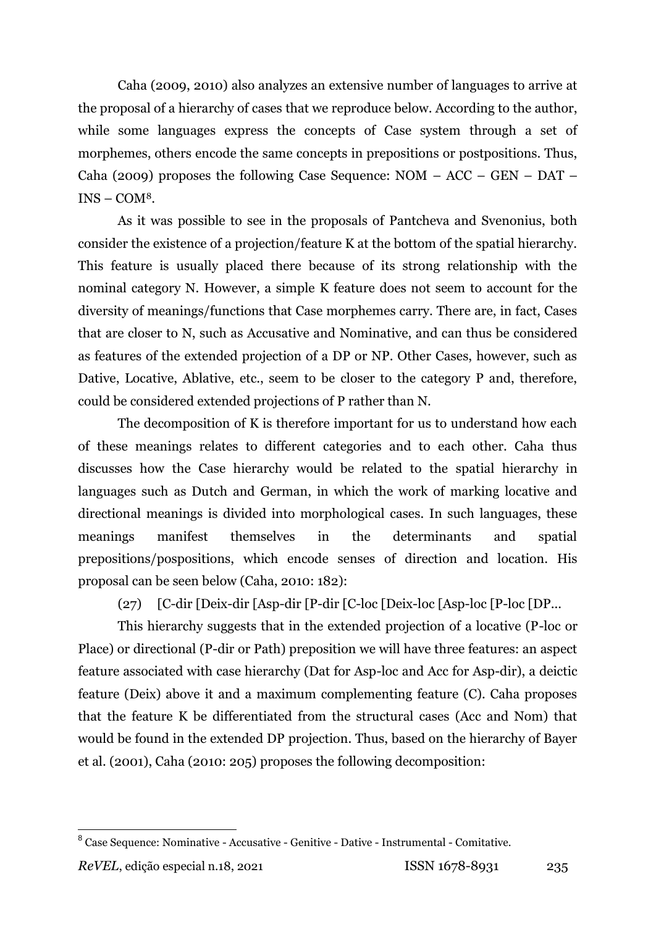Caha (2009, 2010) also analyzes an extensive number of languages to arrive at the proposal of a hierarchy of cases that we reproduce below. According to the author, while some languages express the concepts of Case system through a set of morphemes, others encode the same concepts in prepositions or postpositions. Thus, Caha (2009) proposes the following Case Sequence:  $NOM - ACC - GEN - DAT INS - COM<sup>8</sup>$ .

As it was possible to see in the proposals of Pantcheva and Svenonius, both consider the existence of a projection/feature K at the bottom of the spatial hierarchy. This feature is usually placed there because of its strong relationship with the nominal category N. However, a simple K feature does not seem to account for the diversity of meanings/functions that Case morphemes carry. There are, in fact, Cases that are closer to N, such as Accusative and Nominative, and can thus be considered as features of the extended projection of a DP or NP. Other Cases, however, such as Dative, Locative, Ablative, etc., seem to be closer to the category P and, therefore, could be considered extended projections of P rather than N.

The decomposition of K is therefore important for us to understand how each of these meanings relates to different categories and to each other. Caha thus discusses how the Case hierarchy would be related to the spatial hierarchy in languages such as Dutch and German, in which the work of marking locative and directional meanings is divided into morphological cases. In such languages, these meanings manifest themselves in the determinants and spatial prepositions/pospositions, which encode senses of direction and location. His proposal can be seen below (Caha, 2010: 182):

(27) [C-dir [Deix-dir [Asp-dir [P-dir [C-loc [Deix-loc [Asp-loc [P-loc [DP...

This hierarchy suggests that in the extended projection of a locative (P-loc or Place) or directional (P-dir or Path) preposition we will have three features: an aspect feature associated with case hierarchy (Dat for Asp-loc and Acc for Asp-dir), a deictic feature (Deix) above it and a maximum complementing feature (C). Caha proposes that the feature K be differentiated from the structural cases (Acc and Nom) that would be found in the extended DP projection. Thus, based on the hierarchy of Bayer et al. (2001), Caha (2010: 205) proposes the following decomposition:

 8 Case Sequence: Nominative - Accusative - Genitive - Dative - Instrumental - Comitative.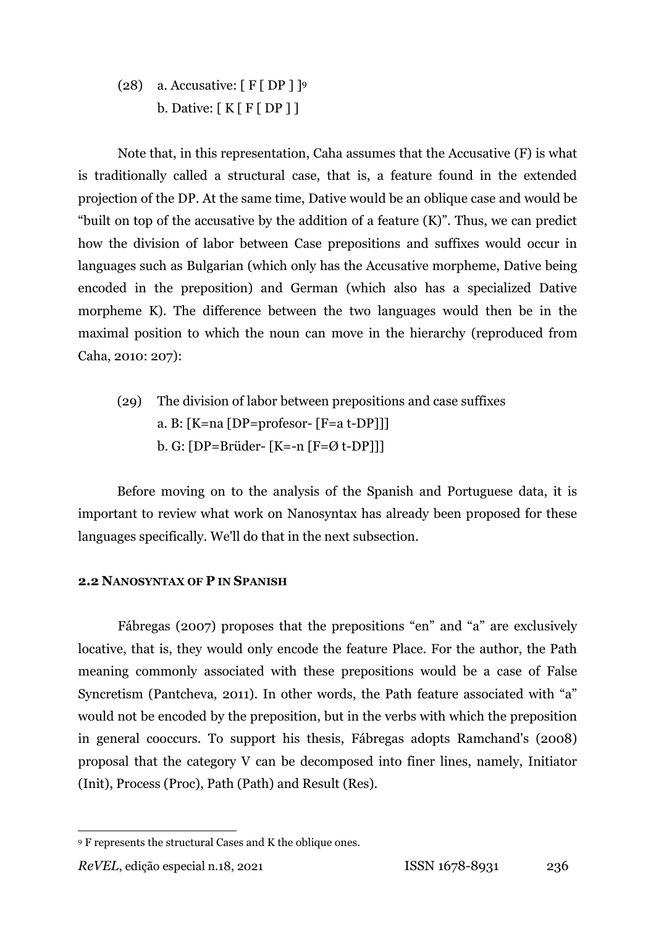(28) a. Accusative:  $[F[DP]]$ <sup>9</sup> b. Dative:  $[K F [ DP ]]$ 

Note that, in this representation, Caha assumes that the Accusative (F) is what is traditionally called a structural case, that is, a feature found in the extended projection of the DP. At the same time, Dative would be an oblique case and would be "built on top of the accusative by the addition of a feature  $(K)$ ". Thus, we can predict how the division of labor between Case prepositions and suffixes would occur in languages such as Bulgarian (which only has the Accusative morpheme, Dative being encoded in the preposition) and German (which also has a specialized Dative morpheme K). The difference between the two languages would then be in the maximal position to which the noun can move in the hierarchy (reproduced from Caha, 2010: 207):

(29) The division of labor between prepositions and case suffixes a. B: [K=na [DP=profesor- [F=a t-DP]]] b. G: [DP=Brüder- [K=-n [F=Ø t-DP]]]

Before moving on to the analysis of the Spanish and Portuguese data, it is important to review what work on Nanosyntax has already been proposed for these languages specifically. We'll do that in the next subsection.

## **2.2 NANOSYNTAX OF P IN SPANISH**

Fábregas (2007) proposes that the prepositions "en" and "a" are exclusively locative, that is, they would only encode the feature Place. For the author, the Path meaning commonly associated with these prepositions would be a case of False Syncretism (Pantcheva, 2011). In other words, the Path feature associated with "a" would not be encoded by the preposition, but in the verbs with which the preposition in general cooccurs. To support his thesis, Fábregas adopts Ramchand's (2008) proposal that the category V can be decomposed into finer lines, namely, Initiator (Init), Process (Proc), Path (Path) and Result (Res).

<sup>9</sup> F represents the structural Cases and K the oblique ones.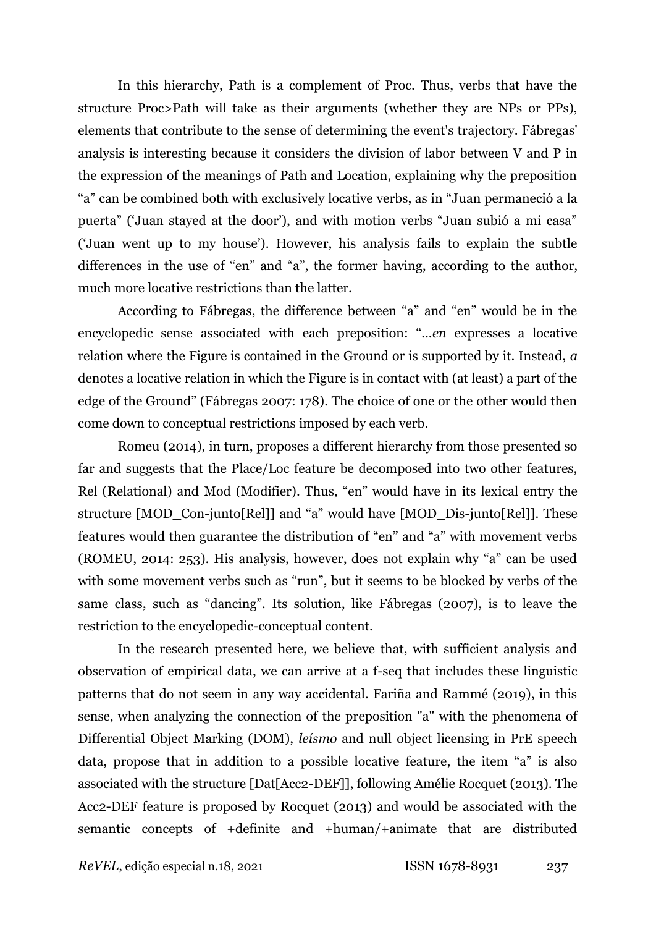In this hierarchy, Path is a complement of Proc. Thus, verbs that have the structure Proc>Path will take as their arguments (whether they are NPs or PPs), elements that contribute to the sense of determining the event's trajectory. Fábregas' analysis is interesting because it considers the division of labor between V and P in the expression of the meanings of Path and Location, explaining why the preposition "a" can be combined both with exclusively locative verbs, as in "Juan permaneció a la puerta" ('Juan stayed at the door'), and with motion verbs "Juan subió a mi casa" ('Juan went up to my house'). However, his analysis fails to explain the subtle differences in the use of "en" and "a", the former having, according to the author, much more locative restrictions than the latter.

According to Fábregas, the difference between "a" and "en" would be in the encyclopedic sense associated with each preposition: "...*en* expresses a locative relation where the Figure is contained in the Ground or is supported by it. Instead, *a* denotes a locative relation in which the Figure is in contact with (at least) a part of the edge of the Ground" (Fábregas 2007: 178). The choice of one or the other would then come down to conceptual restrictions imposed by each verb.

Romeu (2014), in turn, proposes a different hierarchy from those presented so far and suggests that the Place/Loc feature be decomposed into two other features, Rel (Relational) and Mod (Modifier). Thus, "en" would have in its lexical entry the structure [MOD\_Con-junto [Rel]] and "a" would have [MOD\_Dis-junto [Rel]]. These features would then guarantee the distribution of "en" and "a" with movement verbs (ROMEU, 2014: 253). His analysis, however, does not explain why "a" can be used with some movement verbs such as "run", but it seems to be blocked by verbs of the same class, such as "dancing". Its solution, like Fábregas (2007), is to leave the restriction to the encyclopedic-conceptual content.

In the research presented here, we believe that, with sufficient analysis and observation of empirical data, we can arrive at a f-seq that includes these linguistic patterns that do not seem in any way accidental. Fariña and Rammé (2019), in this sense, when analyzing the connection of the preposition "a" with the phenomena of Differential Object Marking (DOM), *leísmo* and null object licensing in PrE speech data, propose that in addition to a possible locative feature, the item "a" is also associated with the structure [Dat[Acc2-DEF]], following Amélie Rocquet (2013). The Acc2-DEF feature is proposed by Rocquet (2013) and would be associated with the semantic concepts of +definite and +human/+animate that are distributed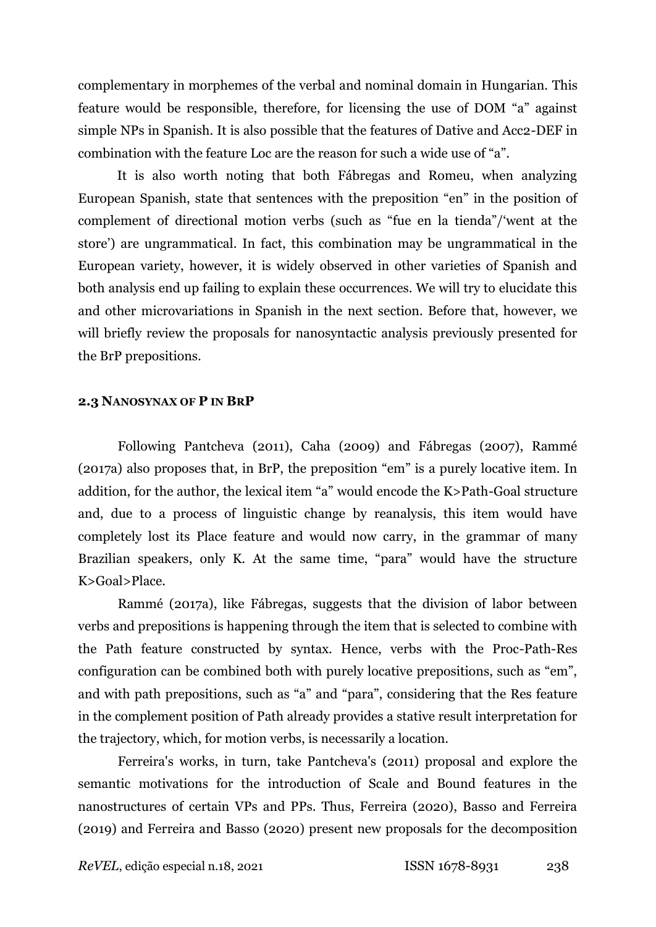complementary in morphemes of the verbal and nominal domain in Hungarian. This feature would be responsible, therefore, for licensing the use of DOM "a" against simple NPs in Spanish. It is also possible that the features of Dative and Acc2-DEF in combination with the feature Loc are the reason for such a wide use of "a".

It is also worth noting that both Fábregas and Romeu, when analyzing European Spanish, state that sentences with the preposition "en" in the position of complement of directional motion verbs (such as "fue en la tienda"/'went at the store') are ungrammatical. In fact, this combination may be ungrammatical in the European variety, however, it is widely observed in other varieties of Spanish and both analysis end up failing to explain these occurrences. We will try to elucidate this and other microvariations in Spanish in the next section. Before that, however, we will briefly review the proposals for nanosyntactic analysis previously presented for the BrP prepositions.

## **2.3 NANOSYNAX OF P IN BRP**

Following Pantcheva (2011), Caha (2009) and Fábregas (2007), Rammé (2017a) also proposes that, in BrP, the preposition "em" is a purely locative item. In addition, for the author, the lexical item "a" would encode the K>Path-Goal structure and, due to a process of linguistic change by reanalysis, this item would have completely lost its Place feature and would now carry, in the grammar of many Brazilian speakers, only K. At the same time, "para" would have the structure K>Goal>Place.

Rammé (2017a), like Fábregas, suggests that the division of labor between verbs and prepositions is happening through the item that is selected to combine with the Path feature constructed by syntax. Hence, verbs with the Proc-Path-Res configuration can be combined both with purely locative prepositions, such as "em", and with path prepositions, such as "a" and "para", considering that the Res feature in the complement position of Path already provides a stative result interpretation for the trajectory, which, for motion verbs, is necessarily a location.

Ferreira's works, in turn, take Pantcheva's (2011) proposal and explore the semantic motivations for the introduction of Scale and Bound features in the nanostructures of certain VPs and PPs. Thus, Ferreira (2020), Basso and Ferreira (2019) and Ferreira and Basso (2020) present new proposals for the decomposition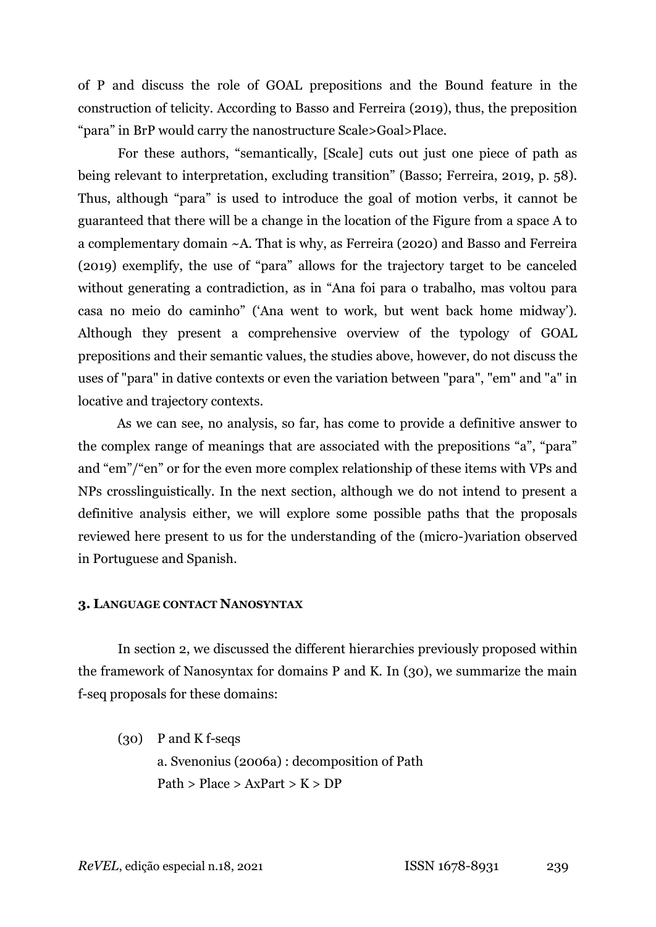of P and discuss the role of GOAL prepositions and the Bound feature in the construction of telicity. According to Basso and Ferreira (2019), thus, the preposition "para" in BrP would carry the nanostructure Scale>Goal>Place.

For these authors, "semantically, Scale] cuts out just one piece of path as being relevant to interpretation, excluding transition" (Basso; Ferreira, 2019, p. 58). Thus, although "para" is used to introduce the goal of motion verbs, it cannot be guaranteed that there will be a change in the location of the Figure from a space A to a complementary domain ~A. That is why, as Ferreira (2020) and Basso and Ferreira (2019) exemplify, the use of "para" allows for the trajectory target to be canceled without generating a contradiction, as in "Ana foi para o trabalho, mas voltou para casa no meio do caminho" ('Ana went to work, but went back home midway'). Although they present a comprehensive overview of the typology of GOAL prepositions and their semantic values, the studies above, however, do not discuss the uses of "para" in dative contexts or even the variation between "para", "em" and "a" in locative and trajectory contexts.

As we can see, no analysis, so far, has come to provide a definitive answer to the complex range of meanings that are associated with the prepositions "a", "para" and "em"/"en" or for the even more complex relationship of these items with VPs and NPs crosslinguistically. In the next section, although we do not intend to present a definitive analysis either, we will explore some possible paths that the proposals reviewed here present to us for the understanding of the (micro-)variation observed in Portuguese and Spanish.

## **3. LANGUAGE CONTACT NANOSYNTAX**

In section 2, we discussed the different hierarchies previously proposed within the framework of Nanosyntax for domains P and K. In (30), we summarize the main f-seq proposals for these domains:

(30) P and K f-seqs a. Svenonius (2006a) : decomposition of Path Path > Place >  $AxPart > K > DP$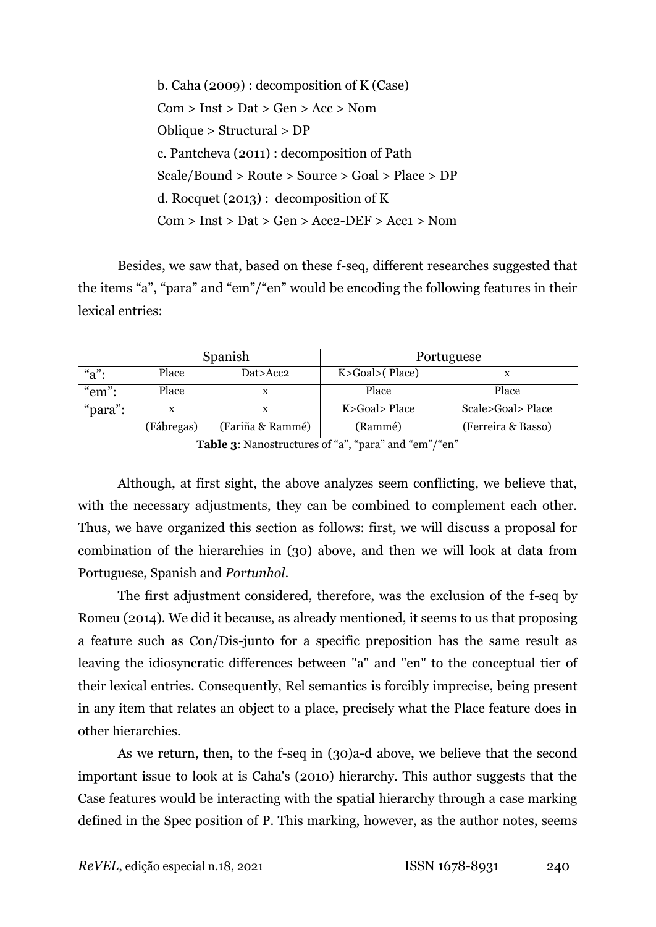| b. Caha $(2009)$ : decomposition of K (Case)       |
|----------------------------------------------------|
| Com > Inst > Dat > Gen > Acc > Nom                 |
| Oblique $>$ Structural $>$ DP                      |
| c. Pantcheva (2011) : decomposition of Path        |
| $Scale/Bound > Route > Source > Goal > Place > DP$ |
| d. Rocquet $(2013)$ : decomposition of K           |
| $Com > Inst > Dat > Gen > Acc2-DEF > Acc1 > Nom$   |

Besides, we saw that, based on these f-seq, different researches suggested that the items "a", "para" and "em"/"en" would be encoding the following features in their lexical entries:

|          |                                | Spanish  | Portuguese      |                    |  |
|----------|--------------------------------|----------|-----------------|--------------------|--|
| " $a$ ": | Place                          | Dat>Acc2 | K>Goal> (Place) |                    |  |
| "em":    | Place                          |          | Place           | Place              |  |
| "para":  | X                              |          | K>Goal> Place   | Scale>Goal> Place  |  |
|          | (Fariña & Rammé)<br>(Fábregas) |          | (Rammé)         | (Ferreira & Basso) |  |

**Table 3**: Nanostructures of "a", "para" and "em"/"en"

Although, at first sight, the above analyzes seem conflicting, we believe that, with the necessary adjustments, they can be combined to complement each other. Thus, we have organized this section as follows: first, we will discuss a proposal for combination of the hierarchies in (30) above, and then we will look at data from Portuguese, Spanish and *Portunhol*.

The first adjustment considered, therefore, was the exclusion of the f-seq by Romeu (2014). We did it because, as already mentioned, it seems to us that proposing a feature such as Con/Dis-junto for a specific preposition has the same result as leaving the idiosyncratic differences between "a" and "en" to the conceptual tier of their lexical entries. Consequently, Rel semantics is forcibly imprecise, being present in any item that relates an object to a place, precisely what the Place feature does in other hierarchies.

As we return, then, to the f-seq in (30)a-d above, we believe that the second important issue to look at is Caha's (2010) hierarchy. This author suggests that the Case features would be interacting with the spatial hierarchy through a case marking defined in the Spec position of P. This marking, however, as the author notes, seems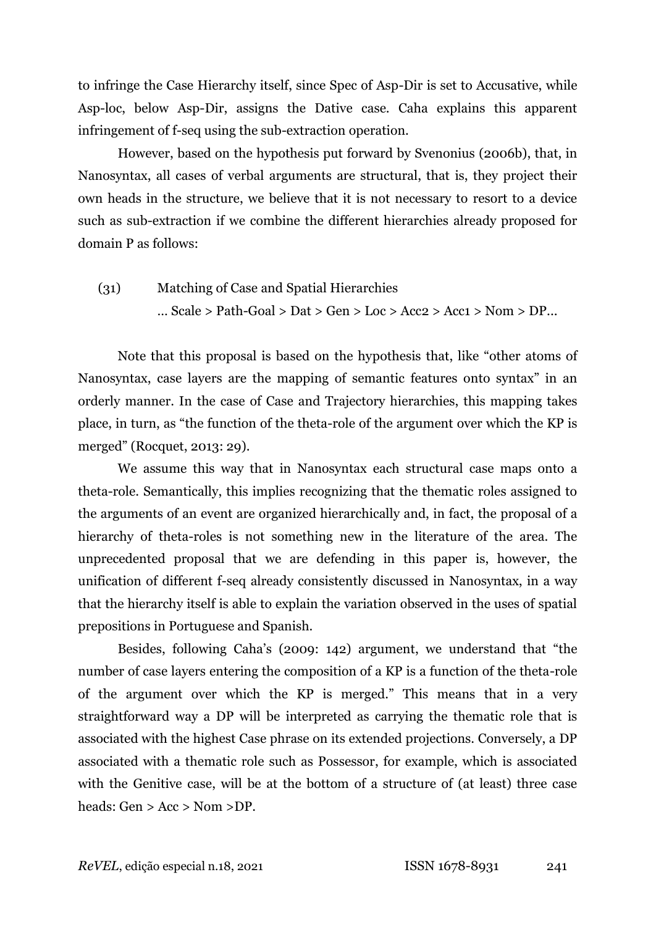to infringe the Case Hierarchy itself, since Spec of Asp-Dir is set to Accusative, while Asp-loc, below Asp-Dir, assigns the Dative case. Caha explains this apparent infringement of f-seq using the sub-extraction operation.

However, based on the hypothesis put forward by Svenonius (2006b), that, in Nanosyntax, all cases of verbal arguments are structural, that is, they project their own heads in the structure, we believe that it is not necessary to resort to a device such as sub-extraction if we combine the different hierarchies already proposed for domain P as follows:

# (31) Matching of Case and Spatial Hierarchies  $\ldots$  Scale > Path-Goal > Dat > Gen > Loc > Acc2 > Acc1 > Nom > DP $\ldots$

Note that this proposal is based on the hypothesis that, like "other atoms of Nanosyntax, case layers are the mapping of semantic features onto syntax" in an orderly manner. In the case of Case and Trajectory hierarchies, this mapping takes place, in turn, as "the function of the theta-role of the argument over which the KP is merged" (Rocquet, 2013: 29).

We assume this way that in Nanosyntax each structural case maps onto a theta-role. Semantically, this implies recognizing that the thematic roles assigned to the arguments of an event are organized hierarchically and, in fact, the proposal of a hierarchy of theta-roles is not something new in the literature of the area. The unprecedented proposal that we are defending in this paper is, however, the unification of different f-seq already consistently discussed in Nanosyntax, in a way that the hierarchy itself is able to explain the variation observed in the uses of spatial prepositions in Portuguese and Spanish.

Besides, following Caha's (2009: 142) argument, we understand that "the number of case layers entering the composition of a KP is a function of the theta-role of the argument over which the KP is merged." This means that in a very straightforward way a DP will be interpreted as carrying the thematic role that is associated with the highest Case phrase on its extended projections. Conversely, a DP associated with a thematic role such as Possessor, for example, which is associated with the Genitive case, will be at the bottom of a structure of (at least) three case heads: Gen > Acc > Nom >DP.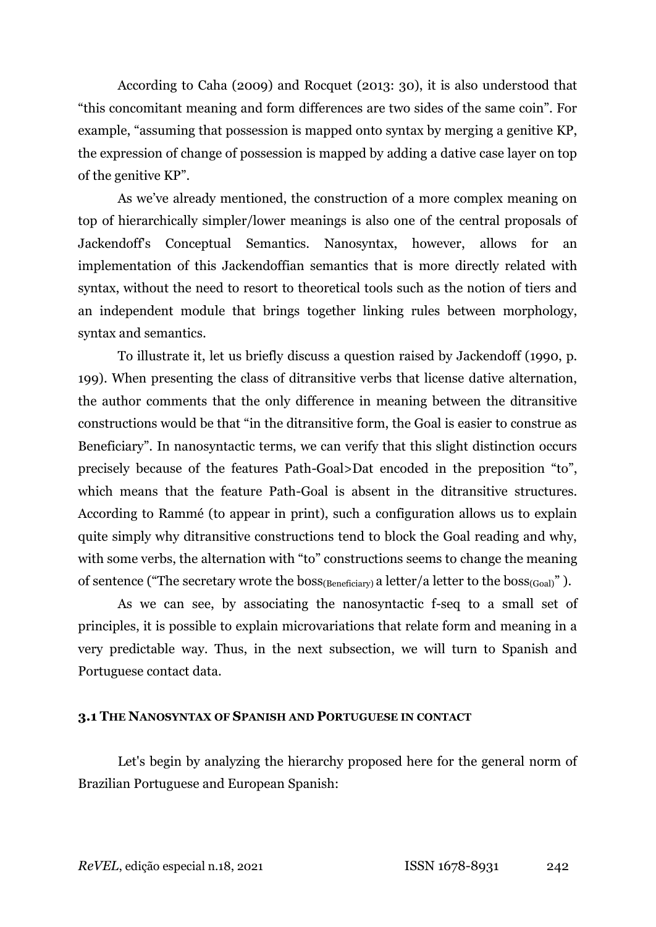According to Caha (2009) and Rocquet (2013: 30), it is also understood that "this concomitant meaning and form differences are two sides of the same coin". For example, "assuming that possession is mapped onto syntax by merging a genitive KP, the expression of change of possession is mapped by adding a dative case layer on top of the genitive KP".

As we've already mentioned, the construction of a more complex meaning on top of hierarchically simpler/lower meanings is also one of the central proposals of Jackendoff's Conceptual Semantics. Nanosyntax, however, allows for an implementation of this Jackendoffian semantics that is more directly related with syntax, without the need to resort to theoretical tools such as the notion of tiers and an independent module that brings together linking rules between morphology, syntax and semantics.

To illustrate it, let us briefly discuss a question raised by Jackendoff (1990, p. 199). When presenting the class of ditransitive verbs that license dative alternation, the author comments that the only difference in meaning between the ditransitive constructions would be that "in the ditransitive form, the Goal is easier to construe as Beneficiary". In nanosyntactic terms, we can verify that this slight distinction occurs precisely because of the features Path-Goal>Dat encoded in the preposition "to", which means that the feature Path-Goal is absent in the ditransitive structures. According to Rammé (to appear in print), such a configuration allows us to explain quite simply why ditransitive constructions tend to block the Goal reading and why, with some verbs, the alternation with "to" constructions seems to change the meaning of sentence ("The secretary wrote the boss<sub>(Beneficiary)</sub> a letter/a letter to the boss<sub>(Goal)</sub>").

As we can see, by associating the nanosyntactic f-seq to a small set of principles, it is possible to explain microvariations that relate form and meaning in a very predictable way. Thus, in the next subsection, we will turn to Spanish and Portuguese contact data.

## **3.1 THE NANOSYNTAX OF SPANISH AND PORTUGUESE IN CONTACT**

Let's begin by analyzing the hierarchy proposed here for the general norm of Brazilian Portuguese and European Spanish: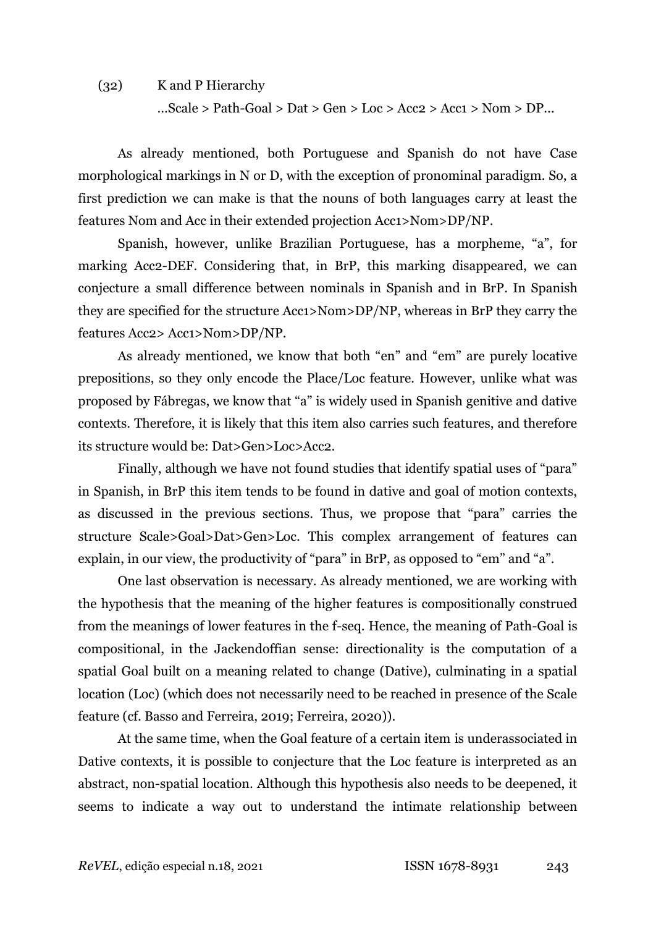## (32) K and P Hierarchy

 $...$ Scale > Path-Goal > Dat > Gen > Loc > Acc2 > Acc1 > Nom > DP $...$ 

As already mentioned, both Portuguese and Spanish do not have Case morphological markings in N or D, with the exception of pronominal paradigm. So, a first prediction we can make is that the nouns of both languages carry at least the features Nom and Acc in their extended projection Acc1>Nom>DP/NP.

Spanish, however, unlike Brazilian Portuguese, has a morpheme, "a", for marking Acc2-DEF. Considering that, in BrP, this marking disappeared, we can conjecture a small difference between nominals in Spanish and in BrP. In Spanish they are specified for the structure Acc1>Nom>DP/NP, whereas in BrP they carry the features Acc2> Acc1>Nom>DP/NP.

As already mentioned, we know that both "en" and "em" are purely locative prepositions, so they only encode the Place/Loc feature. However, unlike what was proposed by Fábregas, we know that "a" is widely used in Spanish genitive and dative contexts. Therefore, it is likely that this item also carries such features, and therefore its structure would be: Dat>Gen>Loc>Acc2.

Finally, although we have not found studies that identify spatial uses of "para" in Spanish, in BrP this item tends to be found in dative and goal of motion contexts, as discussed in the previous sections. Thus, we propose that "para" carries the structure Scale>Goal>Dat>Gen>Loc. This complex arrangement of features can explain, in our view, the productivity of "para" in BrP, as opposed to "em" and "a".

One last observation is necessary. As already mentioned, we are working with the hypothesis that the meaning of the higher features is compositionally construed from the meanings of lower features in the f-seq. Hence, the meaning of Path-Goal is compositional, in the Jackendoffian sense: directionality is the computation of a spatial Goal built on a meaning related to change (Dative), culminating in a spatial location (Loc) (which does not necessarily need to be reached in presence of the Scale feature (cf. Basso and Ferreira, 2019; Ferreira, 2020)).

At the same time, when the Goal feature of a certain item is underassociated in Dative contexts, it is possible to conjecture that the Loc feature is interpreted as an abstract, non-spatial location. Although this hypothesis also needs to be deepened, it seems to indicate a way out to understand the intimate relationship between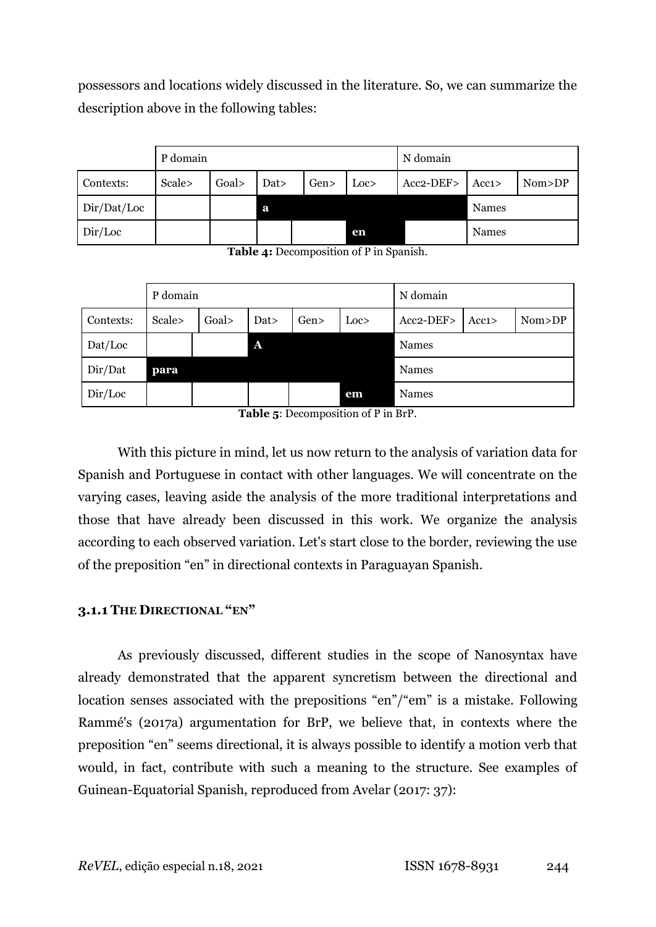possessors and locations widely discussed in the literature. So, we can summarize the description above in the following tables:

|             | P domain |       |      |     |                  | N domain  |       |          |
|-------------|----------|-------|------|-----|------------------|-----------|-------|----------|
| Contexts:   | Scale>   | Goal> | Dat> | Gen | Loc <sub>2</sub> | Acc2-DEF> | Acc1> | Nom > DP |
| Dir/Dat/Loc |          |       | a    |     |                  |           | Names |          |
| Dir/Loc     |          |       |      |     | en               |           | Names |          |

**Table 4:** Decomposition of P in Spanish.

|           | P domain |        |              |     |      | N domain  |       |        |
|-----------|----------|--------|--------------|-----|------|-----------|-------|--------|
| Contexts: | Scale>   | Goal > | Dat>         | Gen | Loc> | Acc2-DEF> | Acc1> | Nom>DP |
| Dat/Loc   |          |        | $\mathbf{A}$ |     |      | Names     |       |        |
| Dir/Dat   | para     |        |              |     |      | Names     |       |        |
| Dir/Loc   |          |        |              |     | em   | Names     |       |        |

**Table 5**: Decomposition of P in BrP.

With this picture in mind, let us now return to the analysis of variation data for Spanish and Portuguese in contact with other languages. We will concentrate on the varying cases, leaving aside the analysis of the more traditional interpretations and those that have already been discussed in this work. We organize the analysis according to each observed variation. Let's start close to the border, reviewing the use of the preposition "en" in directional contexts in Paraguayan Spanish.

## **3.1.1 THE DIRECTIONAL "EN"**

As previously discussed, different studies in the scope of Nanosyntax have already demonstrated that the apparent syncretism between the directional and location senses associated with the prepositions "en"/"em" is a mistake. Following Rammé's (2017a) argumentation for BrP, we believe that, in contexts where the preposition "en" seems directional, it is always possible to identify a motion verb that would, in fact, contribute with such a meaning to the structure. See examples of Guinean-Equatorial Spanish, reproduced from Avelar (2017: 37):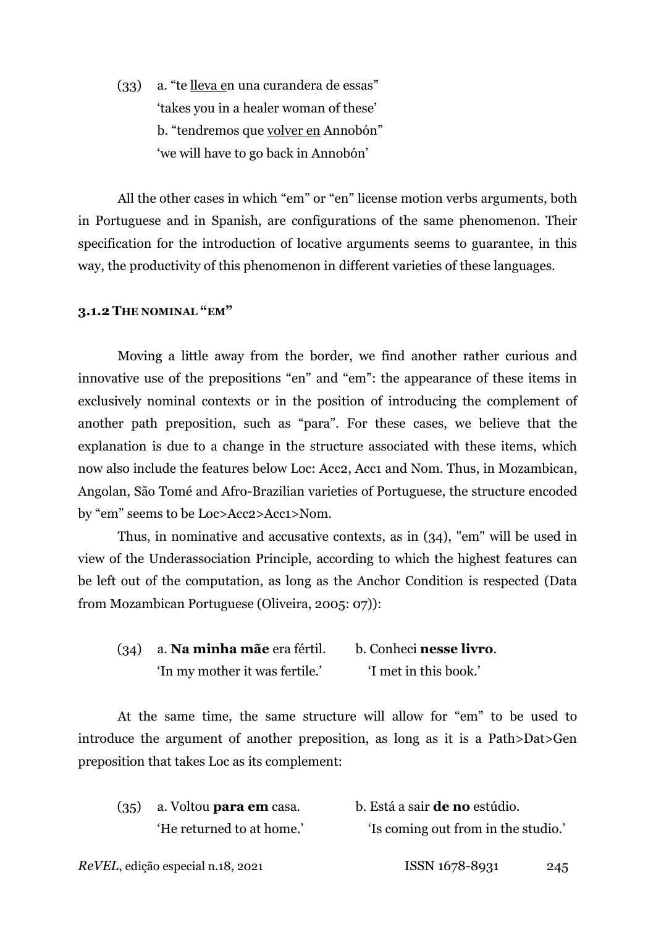(33) a. "te lleva en una curandera de essas" 'takes you in a healer woman of these' b. "tendremos que volver en Annobón" 'we will have to go back in Annobón'

All the other cases in which "em" or "en" license motion verbs arguments, both in Portuguese and in Spanish, are configurations of the same phenomenon. Their specification for the introduction of locative arguments seems to guarantee, in this way, the productivity of this phenomenon in different varieties of these languages.

## **3.1.2 THE NOMINAL "EM"**

Moving a little away from the border, we find another rather curious and innovative use of the prepositions "en" and "em": the appearance of these items in exclusively nominal contexts or in the position of introducing the complement of another path preposition, such as "para". For these cases, we believe that the explanation is due to a change in the structure associated with these items, which now also include the features below Loc: Acc2, Acc1 and Nom. Thus, in Mozambican, Angolan, São Tomé and Afro-Brazilian varieties of Portuguese, the structure encoded by "em" seems to be Loc>Acc2>Acc1>Nom.

Thus, in nominative and accusative contexts, as in (34), "em" will be used in view of the Underassociation Principle, according to which the highest features can be left out of the computation, as long as the Anchor Condition is respected (Data from Mozambican Portuguese (Oliveira, 2005: 07)):

| $(34)$ a. <b>Na minha mãe</b> era fértil. | b. Conheci <b>nesse livro</b> . |  |  |
|-------------------------------------------|---------------------------------|--|--|
| 'In my mother it was fertile.'            | 'I met in this book.'           |  |  |

At the same time, the same structure will allow for "em" to be used to introduce the argument of another preposition, as long as it is a Path>Dat>Gen preposition that takes Loc as its complement:

| $(35)$ a. Voltou <b>para em</b> casa. | b. Está a sair <b>de no</b> estúdio. |
|---------------------------------------|--------------------------------------|
| 'He returned to at home.'             | 'Is coming out from in the studio.'  |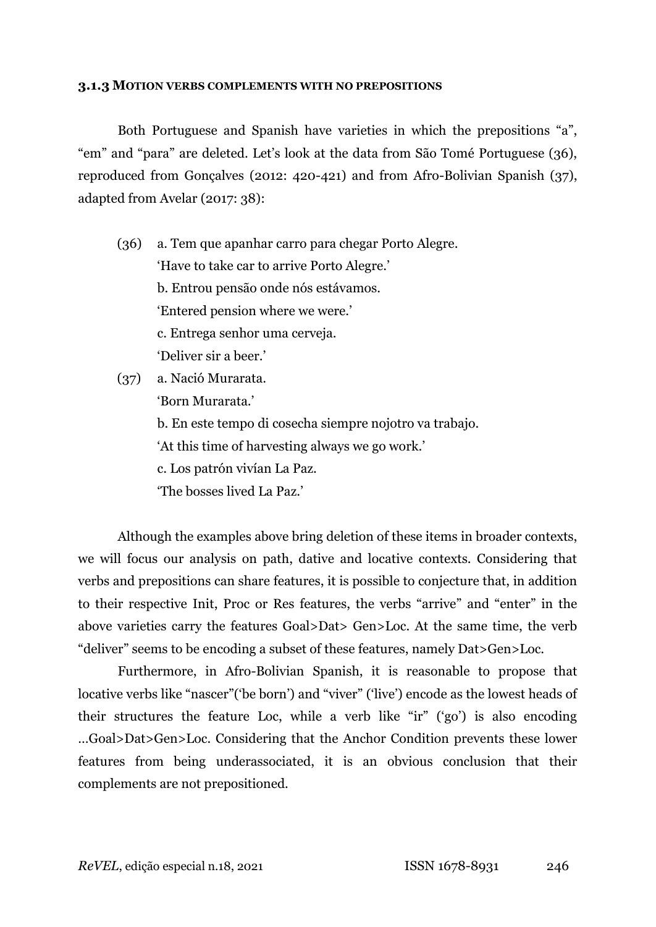#### **3.1.3 MOTION VERBS COMPLEMENTS WITH NO PREPOSITIONS**

Both Portuguese and Spanish have varieties in which the prepositions "a", "em" and "para" are deleted. Let's look at the data from São Tomé Portuguese (36), reproduced from Gonçalves (2012: 420-421) and from Afro-Bolivian Spanish (37), adapted from Avelar (2017: 38):

(36) a. Tem que apanhar carro para chegar Porto Alegre. 'Have to take car to arrive Porto Alegre.' b. Entrou pensão onde nós estávamos. 'Entered pension where we were.' c. Entrega senhor uma cerveja. 'Deliver sir a beer.' (37) a. Nació Murarata.

'Born Murarata.' b. En este tempo di cosecha siempre nojotro va trabajo. 'At this time of harvesting always we go work.' c. Los patrón vivían La Paz. 'The bosses lived La Paz.'

Although the examples above bring deletion of these items in broader contexts, we will focus our analysis on path, dative and locative contexts. Considering that verbs and prepositions can share features, it is possible to conjecture that, in addition to their respective Init, Proc or Res features, the verbs "arrive" and "enter" in the above varieties carry the features Goal>Dat> Gen>Loc. At the same time, the verb "deliver" seems to be encoding a subset of these features, namely Dat>Gen>Loc.

Furthermore, in Afro-Bolivian Spanish, it is reasonable to propose that locative verbs like "nascer"('be born') and "viver" ('live') encode as the lowest heads of their structures the feature Loc, while a verb like "ir" ('go') is also encoding …Goal>Dat>Gen>Loc. Considering that the Anchor Condition prevents these lower features from being underassociated, it is an obvious conclusion that their complements are not prepositioned.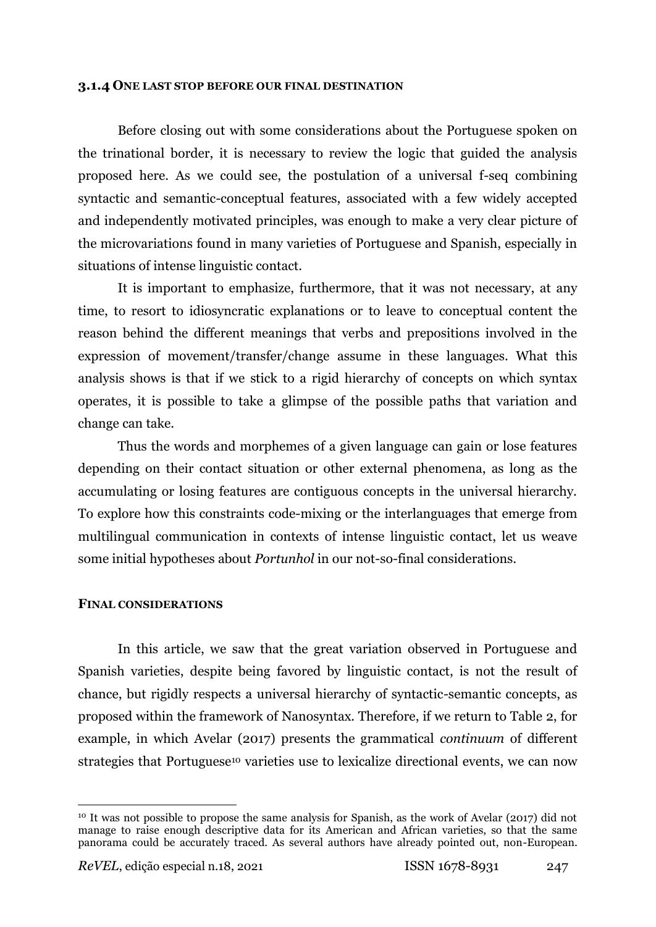#### **3.1.4 ONE LAST STOP BEFORE OUR FINAL DESTINATION**

Before closing out with some considerations about the Portuguese spoken on the trinational border, it is necessary to review the logic that guided the analysis proposed here. As we could see, the postulation of a universal f-seq combining syntactic and semantic-conceptual features, associated with a few widely accepted and independently motivated principles, was enough to make a very clear picture of the microvariations found in many varieties of Portuguese and Spanish, especially in situations of intense linguistic contact.

It is important to emphasize, furthermore, that it was not necessary, at any time, to resort to idiosyncratic explanations or to leave to conceptual content the reason behind the different meanings that verbs and prepositions involved in the expression of movement/transfer/change assume in these languages. What this analysis shows is that if we stick to a rigid hierarchy of concepts on which syntax operates, it is possible to take a glimpse of the possible paths that variation and change can take.

Thus the words and morphemes of a given language can gain or lose features depending on their contact situation or other external phenomena, as long as the accumulating or losing features are contiguous concepts in the universal hierarchy. To explore how this constraints code-mixing or the interlanguages that emerge from multilingual communication in contexts of intense linguistic contact, let us weave some initial hypotheses about *Portunhol* in our not-so-final considerations.

## **FINAL CONSIDERATIONS**

In this article, we saw that the great variation observed in Portuguese and Spanish varieties, despite being favored by linguistic contact, is not the result of chance, but rigidly respects a universal hierarchy of syntactic-semantic concepts, as proposed within the framework of Nanosyntax. Therefore, if we return to Table 2, for example, in which Avelar (2017) presents the grammatical *continuum* of different strategies that Portuguese<sup>10</sup> varieties use to lexicalize directional events, we can now

 $\overline{a}$ 

<sup>10</sup> It was not possible to propose the same analysis for Spanish, as the work of Avelar (2017) did not manage to raise enough descriptive data for its American and African varieties, so that the same panorama could be accurately traced. As several authors have already pointed out, non-European.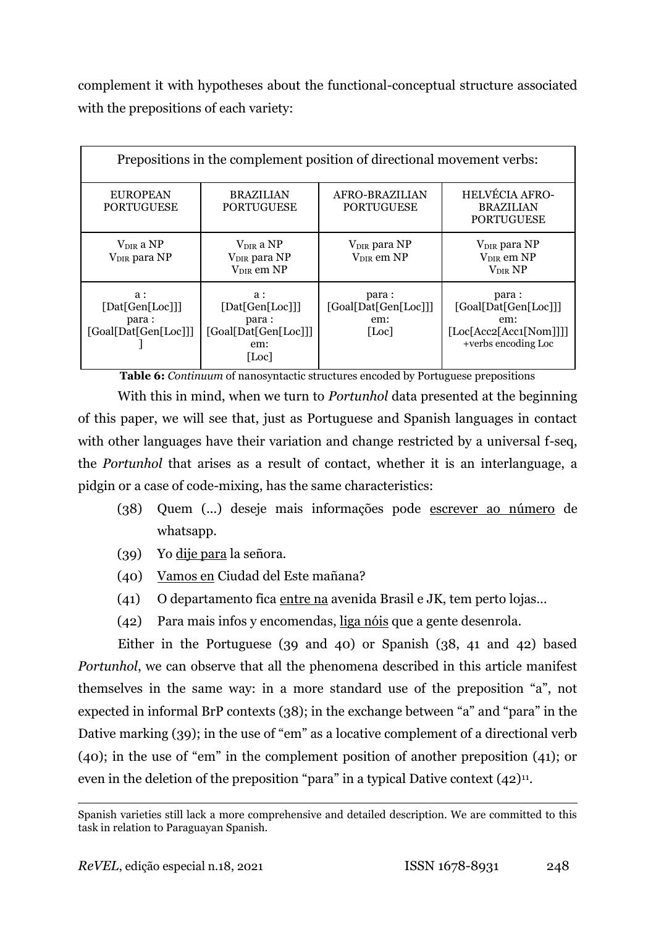complement it with hypotheses about the functional-conceptual structure associated with the prepositions of each variety:

| Prepositions in the complement position of directional movement verbs: |                                                                             |                                               |                                                                                        |  |  |  |  |
|------------------------------------------------------------------------|-----------------------------------------------------------------------------|-----------------------------------------------|----------------------------------------------------------------------------------------|--|--|--|--|
| <b>EUROPEAN</b><br><b>PORTUGUESE</b>                                   | <b>BRAZILIAN</b><br><b>PORTUGUESE</b>                                       | AFRO-BRAZILIAN<br><b>PORTUGUESE</b>           | <b>HELVÉCIA AFRO-</b><br><b>BRAZILIAN</b><br><b>PORTUGUESE</b>                         |  |  |  |  |
| $V_{\text{DIR}}$ a NP<br>V <sub>DIR</sub> para NP                      | $V_{\text{DIR}}$ a NP<br>V <sub>DIR</sub> para NP<br>V <sub>DIR</sub> em NP | $V_{DIR}$ para NP<br>$V_{DIR}$ em NP          | V <sub>DIR</sub> para NP<br>$V_{DIR}$ em NP<br>$\rm V_{\rm DIR}$ $\rm NP$              |  |  |  |  |
| $a$ :<br>[Dat[Gen[Loc]]]<br>para:<br>[Goal[Dat[Gen[Loc]]]              | $a$ :<br>[Dat[Gen[Loc]]]<br>para:<br>[Goal[Dat[Gen[Loc]]]<br>em:<br>[Loc]   | para:<br>[Goal[Dat[Gen[Loc]]]<br>em:<br>[Loc] | para:<br>[Goal[Dat[Gen[Loc]]]<br>em:<br>[Loc[Acc2[Acc1[Nom]]]]]<br>+verbs encoding Loc |  |  |  |  |

**Table 6:** *Continuum* of nanosyntactic structures encoded by Portuguese prepositions

With this in mind, when we turn to *Portunhol* data presented at the beginning of this paper, we will see that, just as Portuguese and Spanish languages in contact with other languages have their variation and change restricted by a universal f-seq, the *Portunhol* that arises as a result of contact, whether it is an interlanguage, a pidgin or a case of code-mixing, has the same characteristics:

- (38) Quem (...) deseje mais informações pode escrever ao número de whatsapp.
- (39) Yo dije para la señora.
- (40) Vamos en Ciudad del Este mañana?
- (41) O departamento fica entre na avenida Brasil e JK, tem perto lojas…
- (42) Para mais infos y encomendas, liga nóis que a gente desenrola.

Either in the Portuguese (39 and 40) or Spanish (38, 41 and 42) based *Portunhol*, we can observe that all the phenomena described in this article manifest themselves in the same way: in a more standard use of the preposition "a", not expected in informal BrP contexts (38); in the exchange between "a" and "para" in the Dative marking (39); in the use of "em" as a locative complement of a directional verb (40); in the use of "em" in the complement position of another preposition (41); or even in the deletion of the preposition "para" in a typical Dative context  $(42)^{11}$ .

 $\overline{a}$ Spanish varieties still lack a more comprehensive and detailed description. We are committed to this task in relation to Paraguayan Spanish.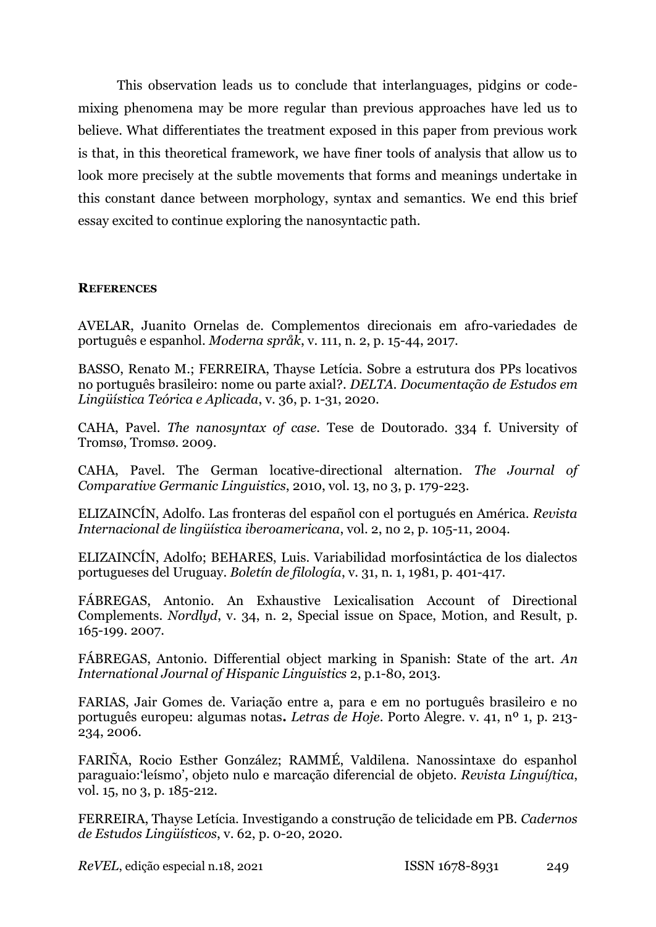This observation leads us to conclude that interlanguages, pidgins or codemixing phenomena may be more regular than previous approaches have led us to believe. What differentiates the treatment exposed in this paper from previous work is that, in this theoretical framework, we have finer tools of analysis that allow us to look more precisely at the subtle movements that forms and meanings undertake in this constant dance between morphology, syntax and semantics. We end this brief essay excited to continue exploring the nanosyntactic path.

## **REFERENCES**

AVELAR, Juanito Ornelas de. Complementos direcionais em afro-variedades de português e espanhol. *Moderna språk*, v. 111, n. 2, p. 15-44, 2017.

BASSO, Renato M.; FERREIRA, Thayse Letícia. Sobre a estrutura dos PPs locativos no português brasileiro: nome ou parte axial?. *DELTA. Documentação de Estudos em Lingüística Teórica e Aplicada*, v. 36, p. 1-31, 2020.

CAHA, Pavel. *The nanosyntax of case*. Tese de Doutorado. 334 f. University of Tromsø, Tromsø. 2009.

CAHA, Pavel. The German locative-directional alternation. *The Journal of Comparative Germanic Linguistics*, 2010, vol. 13, no 3, p. 179-223.

ELIZAINCÍN, Adolfo. Las fronteras del español con el portugués en América. *Revista Internacional de lingüística iberoamericana*, vol. 2, no 2, p. 105-11, 2004.

ELIZAINCÍN, Adolfo; BEHARES, Luis. Variabilidad morfosintáctica de los dialectos portugueses del Uruguay. *Boletín de filología*, v. 31, n. 1, 1981, p. 401-417.

FÁBREGAS, Antonio. An Exhaustive Lexicalisation Account of Directional Complements. *Nordlyd*, v. 34, n. 2, Special issue on Space, Motion, and Result, p. 165-199. 2007.

FÁBREGAS, Antonio. Differential object marking in Spanish: State of the art. *An International Journal of Hispanic Linguistics* 2, p.1-80, 2013.

FARIAS, Jair Gomes de. Variação entre a, para e em no português brasileiro e no português europeu: algumas notas**.** *Letras de Hoje*. Porto Alegre. v. 41, nº 1, p. 213- 234, 2006.

FARIÑA, Rocio Esther González; RAMMÉ, Valdilena. Nanossintaxe do espanhol paraguaio:'leísmo', objeto nulo e marcação diferencial de objeto. *Revista Linguíʃtica*, vol. 15, no 3, p. 185-212.

FERREIRA, Thayse Letícia. Investigando a construção de telicidade em PB. *Cadernos de Estudos Lingüísticos*, v. 62, p. 0-20, 2020.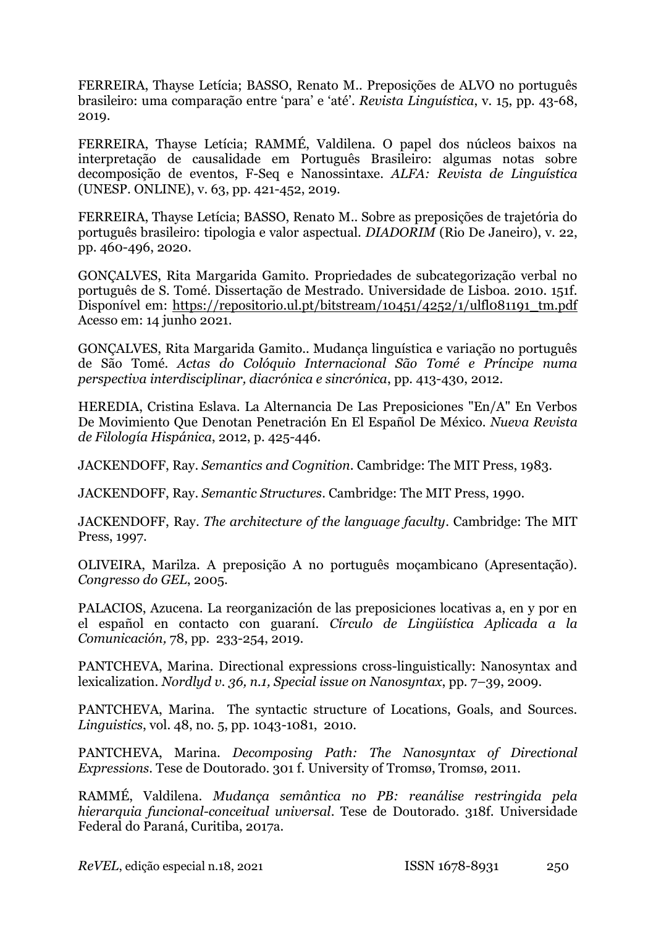FERREIRA, Thayse Letícia; BASSO, Renato M.. Preposições de ALVO no português brasileiro: uma comparação entre 'para' e 'até'. *Revista Linguística*, v. 15, pp. 43-68, 2019.

FERREIRA, Thayse Letícia; RAMMÉ, Valdilena. O papel dos núcleos baixos na interpretação de causalidade em Português Brasileiro: algumas notas sobre decomposição de eventos, F-Seq e Nanossintaxe. *ALFA: Revista de Linguística* (UNESP. ONLINE), v. 63, pp. 421-452, 2019.

FERREIRA, Thayse Letícia; BASSO, Renato M.. Sobre as preposições de trajetória do português brasileiro: tipologia e valor aspectual. *DIADORIM* (Rio De Janeiro), v. 22, pp. 460-496, 2020.

GONÇALVES, Rita Margarida Gamito. Propriedades de subcategorização verbal no português de S. Tomé. Dissertação de Mestrado. Universidade de Lisboa. 2010. 151f. Disponível em: [https://repositorio.ul.pt/bitstream/10451/4252/1/ulfl081191\\_tm.pdf](https://repositorio.ul.pt/bitstream/10451/4252/1/ulfl081191_tm.pdf) Acesso em: 14 junho 2021.

GONÇALVES, Rita Margarida Gamito.. Mudança linguística e variação no português de São Tomé. *Actas do Colóquio Internacional São Tomé e Príncipe numa perspectiva interdisciplinar, diacrónica e sincrónica*, pp. 413-430, 2012.

HEREDIA, Cristina Eslava. La Alternancia De Las Preposiciones "En/A" En Verbos De Movimiento Que Denotan Penetración En El Español De México. *Nueva Revista de Filología Hispánica*, 2012, p. 425-446.

JACKENDOFF, Ray. *Semantics and Cognition*. Cambridge: The MIT Press, 1983.

JACKENDOFF, Ray. *Semantic Structures*. Cambridge: The MIT Press, 1990.

JACKENDOFF, Ray. *The architecture of the language faculty*. Cambridge: The MIT Press, 1997.

OLIVEIRA, Marilza. A preposição A no português moçambicano (Apresentação). *Congresso do GEL*, 2005.

PALACIOS, Azucena. La reorganización de las preposiciones locativas a, en y por en el español en contacto con guaraní. *Círculo de Lingüística Aplicada a la Comunicación,* 78, pp. 233-254, 2019.

PANTCHEVA, Marina. Directional expressions cross-linguistically: Nanosyntax and lexicalization. *Nordlyd v. 36, n.1, Special issue on Nanosyntax*, pp. 7–39, 2009.

PANTCHEVA, Marina. The syntactic structure of Locations, Goals, and Sources. *Linguistics*, vol. 48, no. 5, pp. 1043-1081, 2010.

PANTCHEVA, Marina. *Decomposing Path: The Nanosyntax of Directional Expressions*. Tese de Doutorado. 301 f. University of Tromsø, Tromsø, 2011.

RAMMÉ, Valdilena. *Mudança semântica no PB: reanálise restringida pela hierarquia funcional-conceitual universal*. Tese de Doutorado. 318f. Universidade Federal do Paraná, Curitiba, 2017a.